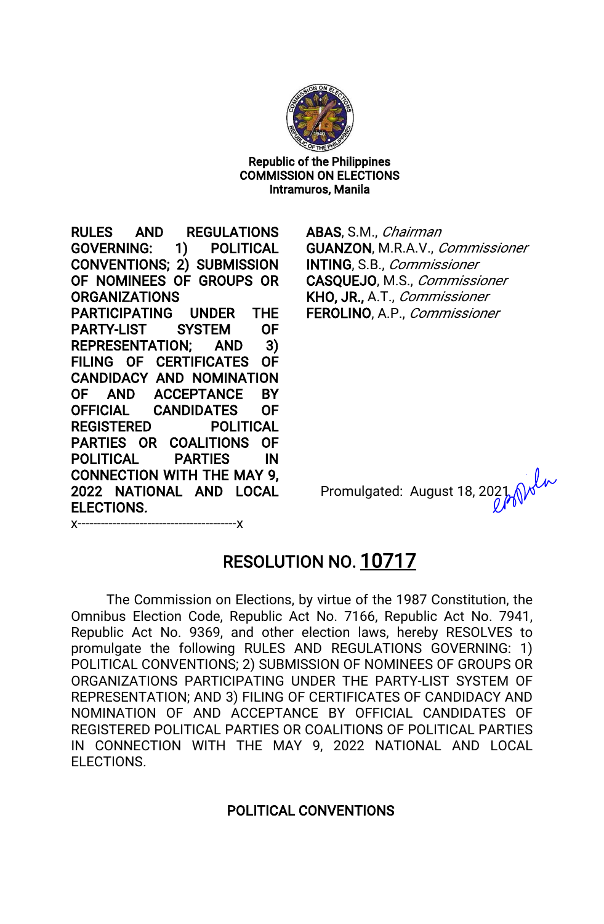

Republic of the Philippines **COMMISSION ON ELECTIONS** Intramuros, Manila

RULES AND REGULATIONS GOVERNING: 1) POLITICAL CONVENTIONS; 2) SUBMISSION OF NOMINEES OF GROUPS OR ORGANIZATIONS PARTICIPATING UNDER THE PARTY-LIST SYSTEM OF REPRESENTATION; AND 3) FILING OF CERTIFICATES OF CANDIDACY AND NOMINATION OF AND ACCEPTANCE BY OFFICIAL CANDIDATES OF REGISTERED POLITICAL PARTIES OR COALITIONS OF POLITICAL PARTIES IN CONNECTION WITH THE MAY 9. 2022 NATIONAL AND LOCAL ELECTIONS.

ABAS, S.M., Chairman GUANZON, M.R.A.V., Commissioner INTING, S.B., Commissioner CASQUEJO, M.S., Commissioner KHO, JR., A.T., Commissioner FEROLINO, A.P., Commissioner

Promulgated: August 18, 2021

x-----------------------------------------x

# RESOLUTION NO. 10717

The Commission on Elections, by virtue of the 1987 Constitution, the Omnibus Election Code, Republic Act No. 7166, Republic Act No. 7941, Republic Act No. 9369, and other election laws, hereby RESOLVES to promulgate the following RULES AND REGULATIONS GOVERNING:1) POLITICAL CONVENTIONS; 2) SUBMISSION OF NOMINEES OF GROUPS OR ORGANIZATIONS PARTICIPATING UNDER THE PARTY-LIST SYSTEM OF REPRESENTATION; AND 3) FILING OF CERTIFICATES OF CANDIDACY AND NOMINATION OF AND ACCEPTANCE BY OFFICIAL CANDIDATES OF REGISTERED POLITICAL PARTIES OR COALITIONS OF POLITICAL PARTIES IN CONNECTION WITH THE MAY 9,2022 NATIONAL AND LOCAL ELECTIONS.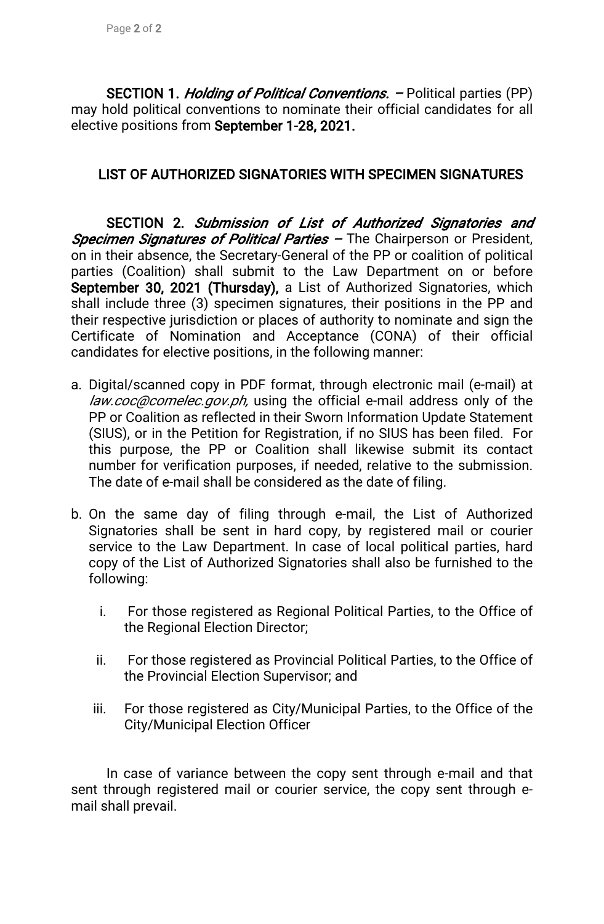SECTION 1. *Holding of Political Conventions.* – Political parties (PP) may hold political conventions to nominate their official candidates for all elective positions from September 1-28, 2021.

## LIST OF AUTHORIZED SIGNATORIES WITH SPECIMEN SIGNATURES

SECTION 2. Submission of List of Authorized Signatories and Specimen Signatures of Political Parties - The Chairperson or President, on in their absence, the Secretary-General of the PP or coalition of political parties (Coalition) shall submit to the Law Department on or before September 30, 2021 (Thursday), a List of Authorized Signatories, which shall include three (3) specimen signatures, their positions in the PP and their respective jurisdiction or places of authority to nominate and sign the Certificate of Nomination and Acceptance (CONA) of their official candidates for elective positions, in the following manner:

- a. Digital/scanned copy in PDF format, through electronic mail (e-mail) at law.coc@comelec.gov.ph, using the official e-mail address only of the PP or Coalition as reflected in their Sworn Information Update Statement (SIUS), or in the Petition for Registration, if no SIUS has been filed. For this purpose, the PP or Coalition shall likewise submit its contact number for verification purposes, if needed, relative to the submission. The date of e-mail shall be considered as the date of filing.
- b. On the same day of filing through e-mail, the List of Authorized Signatories shall be sent in hard copy, by registered mail or courier service to the Law Department. In case of local political parties, hard copy of the List of Authorized Signatories shall also be furnished to the following:
	- i. For those registered as Regional Political Parties, to the Office of the Regional Election Director;
	- ii. For those registered as Provincial Political Parties, to the Office of the Provincial Election Supervisor; and
	- iii. For those registered as City/Municipal Parties, to the Office of the City/Municipal Election Officer

In case of variance between the copy sent through e-mail and that sent through registered mail or courier service, the copy sent through email shall prevail.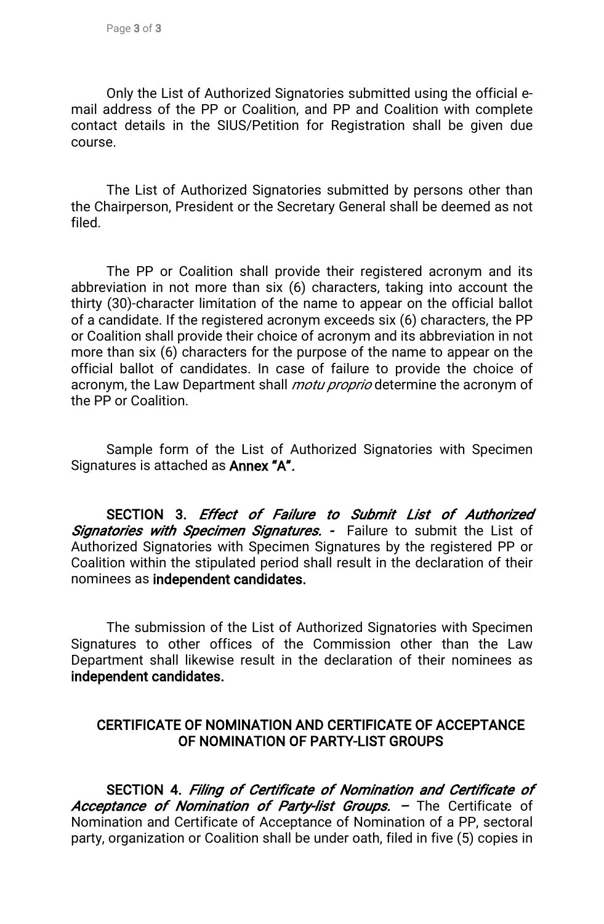Only the List of Authorized Signatories submitted using the official email address of the PP or Coalition, and PP and Coalition with complete contact details in the SIUS/Petition for Registration shall be given due course.

The List of Authorized Signatories submitted by persons other than the Chairperson, President or the Secretary General shall be deemed as not filed.

The PP or Coalition shall provide their registered acronym and its abbreviation in not more than six (6) characters, taking into account the thirty (30)-character limitation of the name to appear on the official ballot of a candidate. If the registered acronym exceeds six (6) characters, the PP or Coalition shall provide their choice of acronym and its abbreviation in not more than six (6) characters for the purpose of the name to appear on the official ballot of candidates. In case of failure to provide the choice of acronym, the Law Department shall *motu proprio* determine the acronym of the PP or Coalition.

Sample form of the List of Authorized Signatories with Specimen Signatures is attached as **Annex "A".** 

SECTION 3. Effect of Failure to Submit List of Authorized Signatories with Specimen Signatures. - Failure to submit the List of Authorized Signatories with Specimen Signatures by the registered PP or Coalition within the stipulated period shall result in the declaration of their nominees as independent candidates.

The submission of the List of Authorized Signatories with Specimen Signatures to other offices of the Commission other than the Law Department shall likewise result in the declaration of their nominees as independent candidates.

## CERTIFICATE OF NOMINATION AND CERTIFICATE OF ACCEPTANCE OF NOMINATION OF PARTY-LIST GROUPS

SECTION 4. Filing of Certificate of Nomination and Certificate of Acceptance of Nomination of Party-list Groups. - The Certificate of Nomination and Certificate of Acceptance of Nomination of a PP, sectoral party, organization or Coalition shall be under oath, filed in five (5) copies in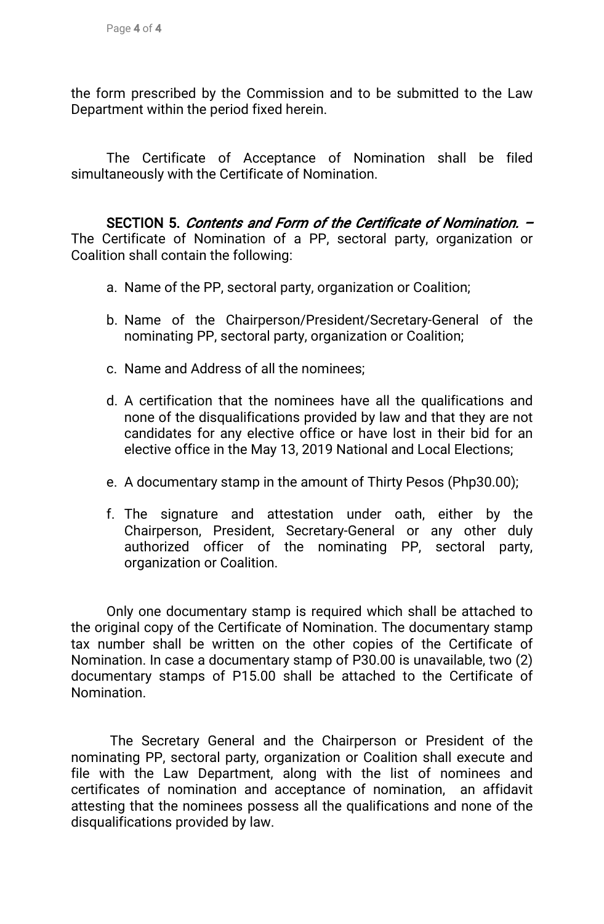the form prescribed by the Commission and to be submitted to the Law Department within the period fixed herein.

The Certificate of Acceptance of Nomination shall be filed simultaneously with the Certificate of Nomination.

SECTION 5. Contents and Form of the Certificate of Nomination. – The Certificate of Nomination of a PP, sectoral party, organization or Coalition shall contain the following:

- a. Name of the PP, sectoral party, organization or Coalition;
- b. Name of the Chairperson/President/Secretary-General of the nominating PP, sectoral party, organization or Coalition;
- c. Name and Address of all the nominees;
- d. A certification that the nominees have all the qualifications and none of the disqualifications provided by law and that they are not candidates for any elective office or have lost in their bid for an elective office in the May 13, 2019 National and Local Elections;
- e. A documentary stamp in the amount of Thirty Pesos (Php30.00);
- f. The signature and attestation under oath, either by the Chairperson, President, Secretary-General or any other duly authorized officer of the nominating PP, sectoral party, organization or Coalition.

Only one documentary stamp is required which shall be attached to the original copy of the Certificate of Nomination. The documentary stamp tax number shall be written on the other copies of the Certificate of Nomination. In case a documentary stamp of P30.00 is unavailable, two (2) documentary stamps of P15.00 shall be attached to the Certificate of Nomination.

The Secretary General and the Chairperson or President of the nominating PP, sectoral party, organization or Coalition shall execute and file with the Law Department, along with the list of nominees and certificates of nomination and acceptance of nomination, an affidavit attesting that the nominees possess all the qualifications and none of the disqualifications provided by law.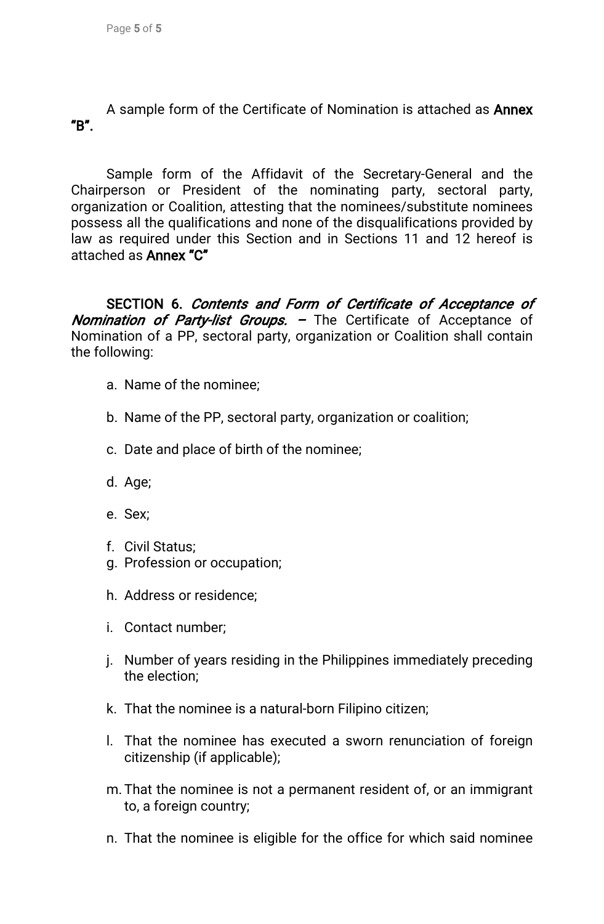A sample form of the Certificate of Nomination is attached as **Annex** "B".

Sample form of the Affidavit of the Secretary-General and the Chairperson or President of the nominating party, sectoral party, organization or Coalition, attesting that the nominees/substitute nominees possess all the qualifications and none of the disqualifications provided by law as required under this Section and in Sections 11 and 12 hereof is attached as Annex "C"

SECTION 6. Contents and Form of Certificate of Acceptance of Nomination of Party-list Groups. - The Certificate of Acceptance of Nomination of a PP, sectoral party, organization or Coalition shall contain the following:

- a. Name of the nominee:
- b. Name of the PP, sectoral party, organization or coalition;
- c. Date and place of birth of the nominee;
- d. Age;
- e.Sex;
- f. Civil Status:
- g. Profession or occupation;
- h. Address or residence;
- i. Contact number:
- j. Number of years residing in the Philippines immediately preceding the election:
- k. That the nominee is a natural-born Filipino citizen;
- I. That the nominee has executed a sworn renunciation of foreign citizenship (if applicable);
- m. That the nominee is not a permanent resident of, or an immigrant to, a foreign country;
- n. That the nominee is eligible for the office for which said nominee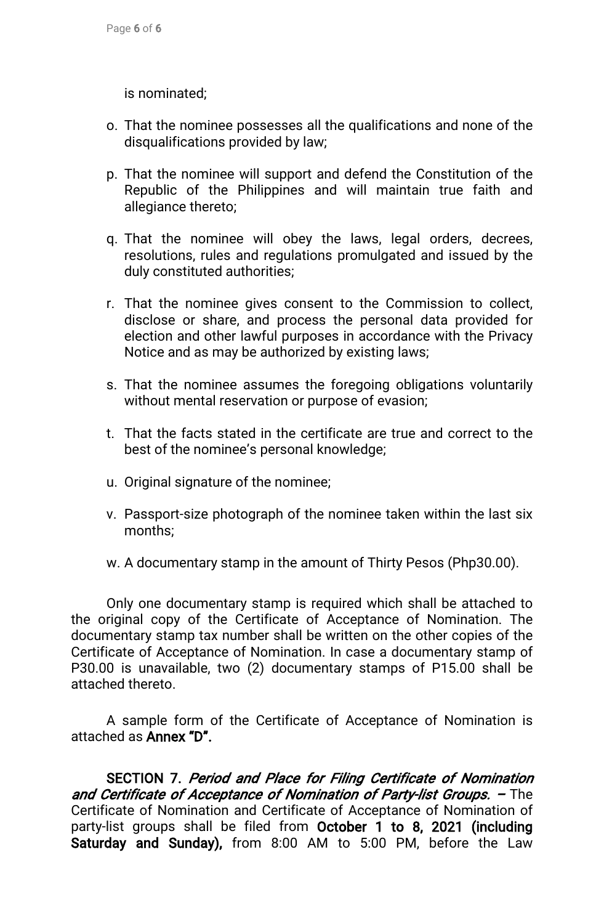is nominated;

- o. That the nominee possesses all the qualifications and none of the disqualifications provided by law;
- p. That the nominee will support and defend the Constitution of the Republic of the Philippines and will maintain true faith and allegiance thereto;
- q. That the nominee will obey the laws, legal orders, decrees, resolutions, rules and regulations promulgated and issued by the duly constituted authorities;
- r. That the nominee gives consent to the Commission to collect, disclose or share, and process the personal data provided for election and other lawful purposes in accordance with the Privacy Notice and as may be authorized by existing laws;
- s. That the nominee assumes the foregoing obligations voluntarily without mental reservation or purpose of evasion;
- t. That the facts stated in the certificate are true and correct to the best of the nominee's personal knowledge;
- u. Original signature of the nominee;
- v. Passport-size photograph of the nominee taken within the last six months;
- w. A documentary stamp in the amount of Thirty Pesos (Php30.00).

Only one documentary stamp is required which shall be attached to the original copy of the Certificate of Acceptance of Nomination. The documentary stamp tax number shall be written on the other copies of the Certificate of Acceptance of Nomination. In case a documentary stamp of P30.00 is unavailable, two (2) documentary stamps of P15.00 shall be attached thereto.

A sample form of the Certificate of Acceptance of Nomination is attached as **Annex "D".** 

SECTION 7. Period and Place for Filing Certificate of Nomination and Certificate of Acceptance of Nomination of Party-list Groups.  $-$  The Certificate of Nomination and Certificate of Acceptance of Nomination of party-list groups shall be filed from October 1 to 8, 2021 (including Saturday and Sunday), from 8:00 AM to 5:00 PM, before the Law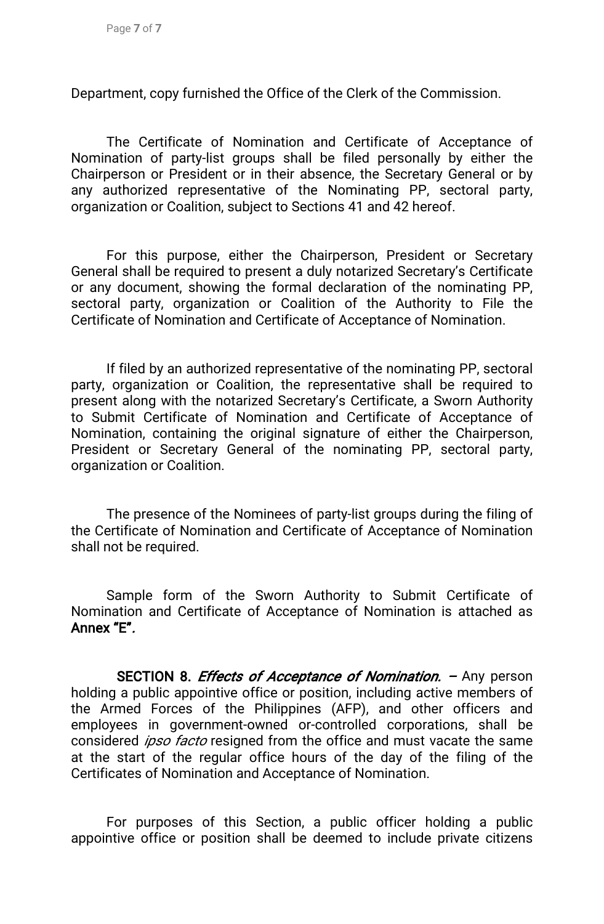Department, copy furnished the Office of the Clerk of the Commission.

The Certificate of Nomination and Certificate of Acceptance of Nomination of party-list groups shall be filed personally by either the Chairperson or President or in their absence, the Secretary General or by any authorized representative of the Nominating PP, sectoral party, organization or Coalition, subject to Sections 41 and 42 hereof.

For this purpose, either the Chairperson, President or Secretary General shall be required to present a duly notarized Secretary's Certificate or any document, showing the formal declaration of the nominating PP, sectoral party, organization or Coalition of the Authority to File the Certificate of Nomination and Certificate of Acceptance of Nomination.

If filed by an authorized representative of the nominating PP, sectoral party, organization or Coalition, the representative shall be required to present along with the notarized Secretary's Certificate, a Sworn Authority to Submit Certificate of Nomination and Certificate of Acceptance of Nomination, containing the original signature of either the Chairperson, President or Secretary General of the nominating PP, sectoral party, organization or Coalition.

The presence of the Nominees of party-list groups during the filing of the Certificate of Nomination and Certificate of Acceptance of Nomination shall not be required.

Sample form of the Sworn Authority to Submit Certificate of Nomination and Certificate of Acceptance of Nomination is attached as Annex"E".

SECTION 8. *Effects of Acceptance of Nomination*. – Any person holding a public appointive office or position, including active members of the Armed Forces of the Philippines (AFP), and other officers and employees in government-owned or-controlled corporations, shall be considered *ipso facto* resigned from the office and must vacate the same at the start of the regular office hours of the day of the filing of the Certificates of Nomination and Acceptance of Nomination.

For purposes of this Section, a public officer holding a public appointive office or position shall be deemed to include private citizens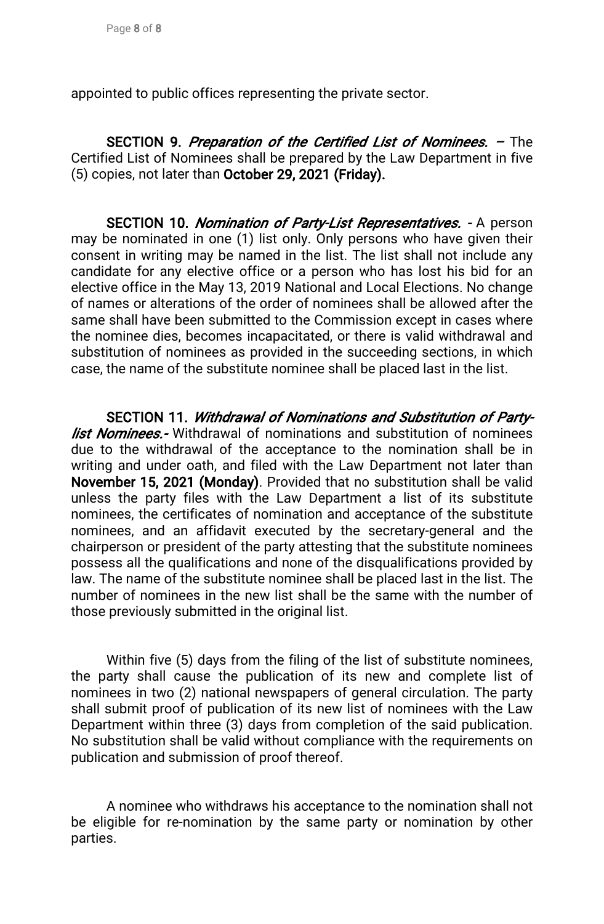appointed to public offices representing the private sector.

SECTION 9. Preparation of the Certified List of Nominees. – The Certified List of Nominees shall be prepared by the Law Department in five (5) copies, not later than October 29, 2021 (Friday).

SECTION 10. Nomination of Party-List Representatives. - A person may be nominated in one (1) list only. Only persons who have given their consent in writing may be named in the list. The list shall not include any candidate for any elective office or a person who has lost his bid for an elective office in the May 13, 2019 National and Local Elections. No change of names or alterations of the order of nominees shall be allowed after the same shall have been submitted to the Commission except in cases where the nominee dies, becomes incapacitated, or there is valid withdrawal and substitution of nominees as provided in the succeeding sections, in which case, the name of the substitute nominee shall be placed last in the list.

SECTION 11. Withdrawal of Nominations and Substitution of Party*list Nominees.*-Withdrawal of nominations and substitution of nominees due to the withdrawal of the acceptance to the nomination shall be in writing and under oath, and filed with the Law Department not later than November 15, 2021 (Monday). Provided that no substitution shall be valid unless the party files with the Law Department a list of its substitute nominees, the certificates of nomination and acceptance of the substitute nominees, and an affidavit executed by the secretary-general and the chairperson or president of the party attesting that the substitute nominees possess all the qualifications and none of the disqualifications provided by law. The name of the substitute nominee shall be placed last in the list. The number of nominees in the new list shall be the same with the number of those previously submitted in the original list.

Within five (5) days from the filing of the list of substitute nominees, the party shall cause the publication of its new and complete list of nominees in two (2) national newspapers of general circulation. The party shall submit proof of publication of its new list of nominees with the Law Department within three (3) days from completion of the said publication. No substitution shall be valid without compliance with the requirements on publication and submission of proof thereof.

A nominee who withdraws his acceptance to the nomination shall not be eligible for re-nomination by the same party or nomination by other parties.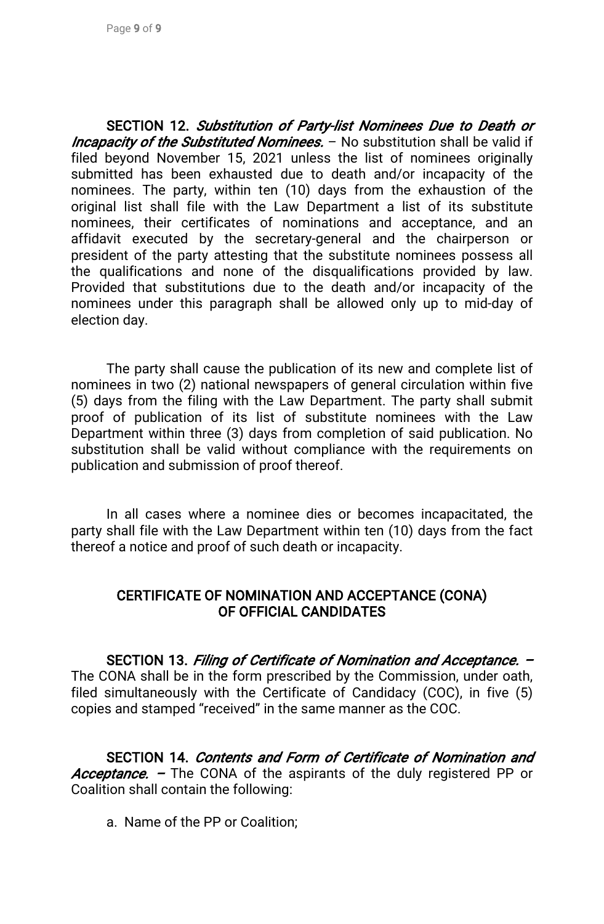SECTION 12. Substitution of Party-list Nominees Due to Death or Incapacity of the Substituted Nominees. - No substitution shall be valid if filed beyond November 15, 2021 unless the list of nominees originally submitted has been exhausted due to death and/or incapacity of the nominees. The party, within ten (10) days from the exhaustion of the original list shall file with the Law Department a list of its substitute nominees, their certificates of nominations and acceptance, and an affidavit executed by the secretary-general and the chairperson or president of the party attesting that the substitute nominees possess all the qualifications and none of the disqualifications provided by law. Provided that substitutions due to the death and/or incapacity of the nominees under this paragraph shall be allowed only up to mid-day of election day.

The party shall cause the publication of its new and complete list of nominees in two (2) national newspapers of general circulation within five (5) days from the filing with the Law Department. The party shall submit proof of publication of its list of substitute nominees with the Law Department within three (3) days from completion of said publication. No substitution shall be valid without compliance with the requirements on publication and submission of proof thereof.

In all cases where a nominee dies or becomes incapacitated, the party shall file with the Law Department within ten (10) days from the fact thereof a notice and proof of such death or incapacity.

## CERTIFICATE OF NOMINATION AND ACCEPTANCE (CONA) OF OFFICIAL CANDIDATES

SECTION 13. Filing of Certificate of Nomination and Acceptance. – The CONA shall be in the form prescribed by the Commission, under oath, filed simultaneously with the Certificate of Candidacy (COC), in five  $(5)$ copies and stamped "received" in the same manner as the COC.

SECTION 14. Contents and Form of Certificate of Nomination and Acceptance. – The CONA of the aspirants of the duly registered PP or Coalition shall contain the following:

a. Name of the PP or Coalition: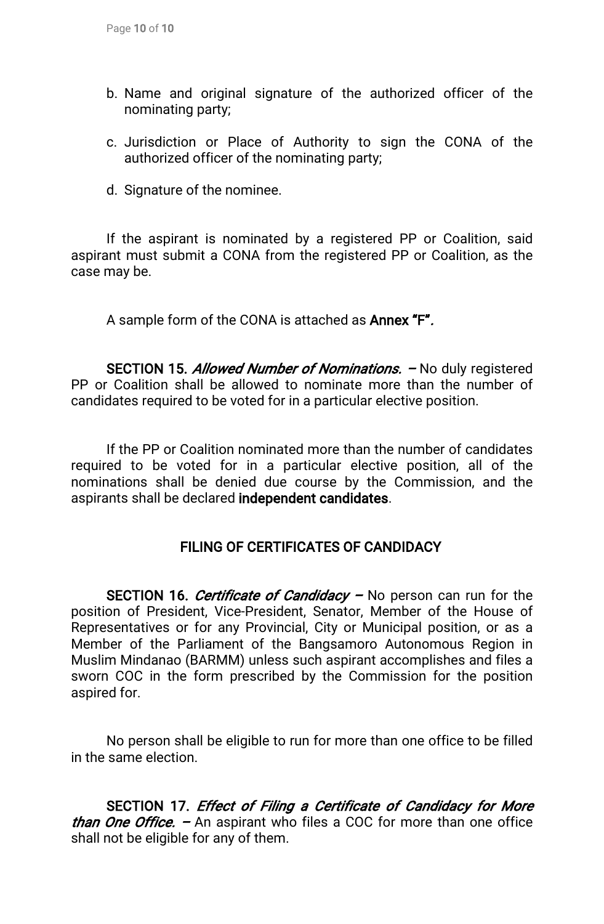- b. Name and original signature of the authorized officer of the nominating party;
- c. Jurisdiction or Place of Authority to sign the CONA of the authorized officer of the nominating party;
- d. Signature of the nominee.

If the aspirant is nominated by a registered PP or Coalition, said aspirant must submit a CONA from the registered PP or Coalition, as the case may be.

A sample form of the CONA is attached as **Annex "F".** 

SECTION 15. Allowed Number of Nominations. - No duly registered PP or Coalition shall be allowed to nominate more than the number of candidates required to be voted for in a particular elective position.

If the PP or Coalition nominated more than the number of candidates required to be voted for in a particular elective position, all of the nominations shall be denied due course by the Commission, and the aspirants shall be declared independent candidates.

# FILING OF CERTIFICATES OF CANDIDACY

SECTION 16. Certificate of Candidacy – No person can run for the position of President, Vice-President, Senator, Member of the House of Representatives or for any Provincial, City or Municipal position, or as a Member of the Parliament of the Bangsamoro Autonomous Region in Muslim Mindanao (BARMM) unless such aspirant accomplishes and files a sworn COC in the form prescribed by the Commission for the position aspired for.

No person shall be eligible to run for more than one office to be filled in the same election.

SECTION 17. Effect of Filing a Certificate of Candidacy for More *than One Office.*  $-$  An aspirant who files a COC for more than one office shall not be eligible for any of them.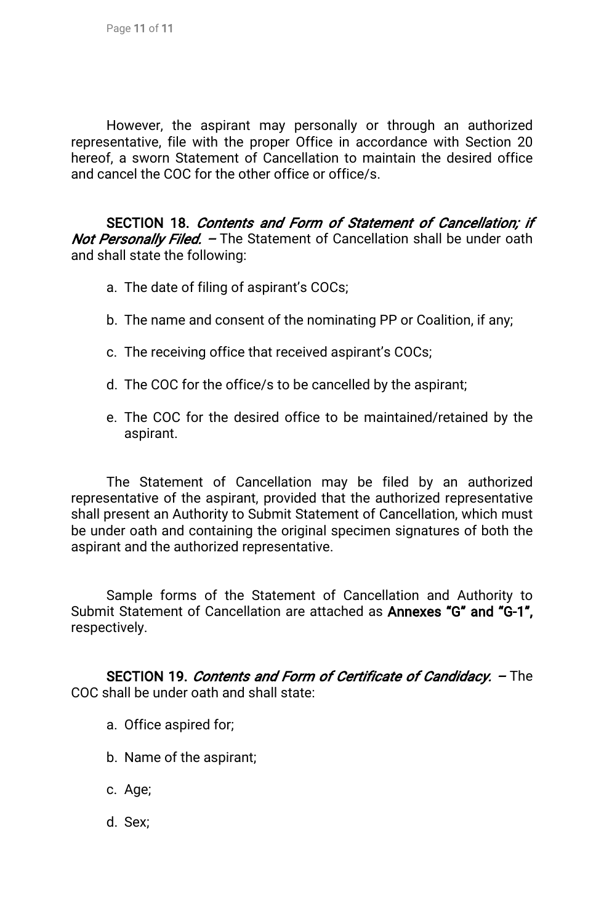However, the aspirant may personally or through an authorized representative, file with the proper Office in accordance with Section 20 hereof, a sworn Statement of Cancellation to maintain the desired office and cancel the COC for the other office or office/s.

SECTION 18. Contents and Form of Statement of Cancellation; if Not Personally Filed. – The Statement of Cancellation shall be under oath and shall state the following:

- a. The date of filing of aspirant's COCs;
- b. The name and consent of the nominating PP or Coalition, if any;
- c. The receiving office that received aspirant's COCs;
- d. The COC for the office/s to be cancelled by the aspirant;
- e. The COC for the desired office to be maintained/retained by the aspirant.

The Statement of Cancellation may be filed by an authorized representative of the aspirant, provided that the authorized representative shall present an Authority to Submit Statement of Cancellation, which must be under oath and containing the original specimen signatures of both the aspirant and the authorized representative.

Sample forms of the Statement of Cancellation and Authority to Submit Statement of Cancellation are attached as Annexes "G" and "G-1", respectively.

SECTION 19. Contents and Form of Certificate of Candidacy. - The COC shall be under oath and shall state:

- a. Office aspired for;
- b. Name of the aspirant;
- c.Age;
- d.Sex;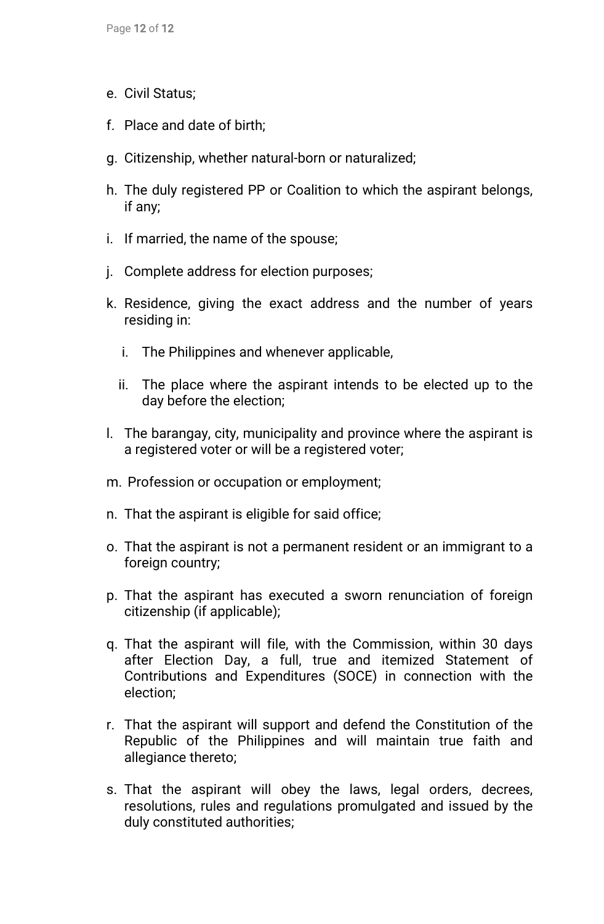- e. Civil Status;
- f. Place and date of birth;
- g. Citizenship, whether natural-born or naturalized;
- h. The duly registered PP or Coalition to which the aspirant belongs, ifany;
- i. If married, the name of the spouse;
- j. Complete address for election purposes;
- k. Residence, giving the exact address and the number of years residing in:
	- i. The Philippines and whenever applicable,
	- ii. The place where the aspirant intends to be elected up to the day before the election;
- I. The barangay, city, municipality and province where the aspirant is a registered voter or will be a registered voter;
- m. Profession or occupation or employment;
- n. That the aspirant is eligible for said office;
- o. That the aspirant is not a permanent resident or an immigrant to a foreign country;
- p. That the aspirant has executed a sworn renunciation of foreign citizenship (if applicable);
- q. That the aspirant will file, with the Commission, within 30 days after Election Day, a full, true and itemized Statement of Contributions and Expenditures (SOCE) in connection with the election;
- r. That the aspirant will support and defend the Constitution of the Republic of the Philippines and will maintain true faith and allegiance thereto;
- s. That the aspirant will obey the laws, legal orders, decrees, resolutions, rules and regulations promulgated and issued by the duly constituted authorities;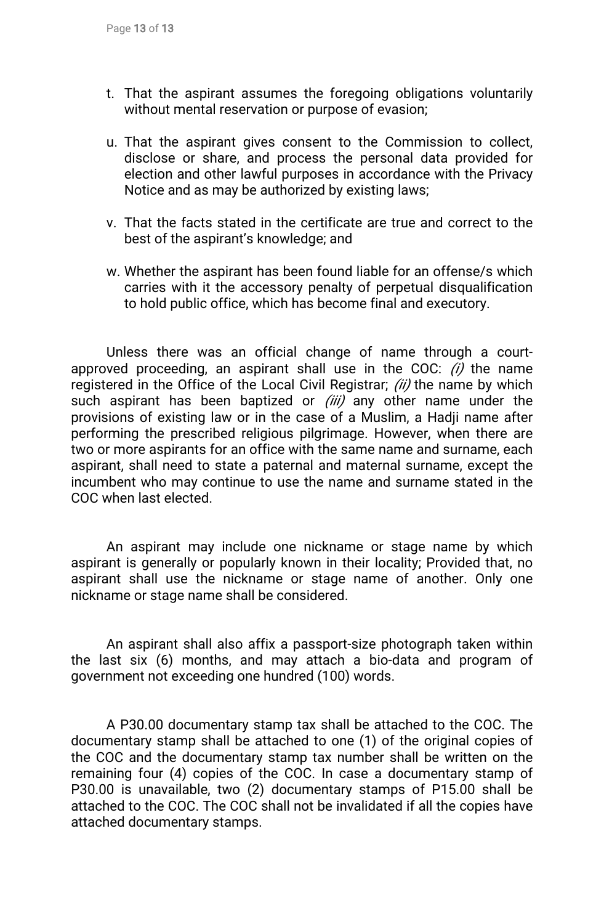- t. That the aspirant assumes the foregoing obligations voluntarily without mental reservation or purpose of evasion;
- u. That the aspirant gives consent to the Commission to collect, disclose or share, and process the personal data provided for election and other lawful purposes in accordance with the Privacy Notice and as may be authorized by existing laws;
- v. That the facts stated in the certificate are true and correct to the best of the aspirant's knowledge; and
- w. Whether the aspirant has been found liable for an offense/s which carries with it the accessory penalty of perpetual disqualification to hold public office, which has become final and executory.

Unless there was an official change of name through a courtapproved proceeding, an aspirant shall use in the COC:  $(i)$  the name registered in the Office of the Local Civil Registrar;  $(ii)$  the name by which such aspirant has been baptized or  $(iii)$  any other name under the provisions of existing law or in the case of a Muslim, a Hadji name after performing the prescribed religious pilgrimage. However, when there are two or more aspirants for an office with the same name and surname, each aspirant, shall need to state a paternal and maternal surname, except the incumbent who may continue to use the name and surname stated in the COC when last elected.

An aspirant may include one nickname or stage name by which aspirant is generally or popularly known in their locality; Provided that, no aspirant shall use the nickname or stage name of another. Only one nickname or stage name shall be considered.

An aspirant shall also affix a passport-size photograph taken within the last six (6) months, and may attach a bio-data and program of government not exceeding one hundred (100) words.

A P30.00 documentary stamp tax shall be attached to the COC. The documentary stamp shall be attached to one (1) of the original copies of the COC and the documentary stamp tax number shall be written on the remaining four (4) copies of the COC. In case a documentary stamp of P30.00 is unavailable, two (2) documentary stamps of P15.00 shall be attached to the COC. The COC shall not be invalidated if all the copies have attached documentary stamps.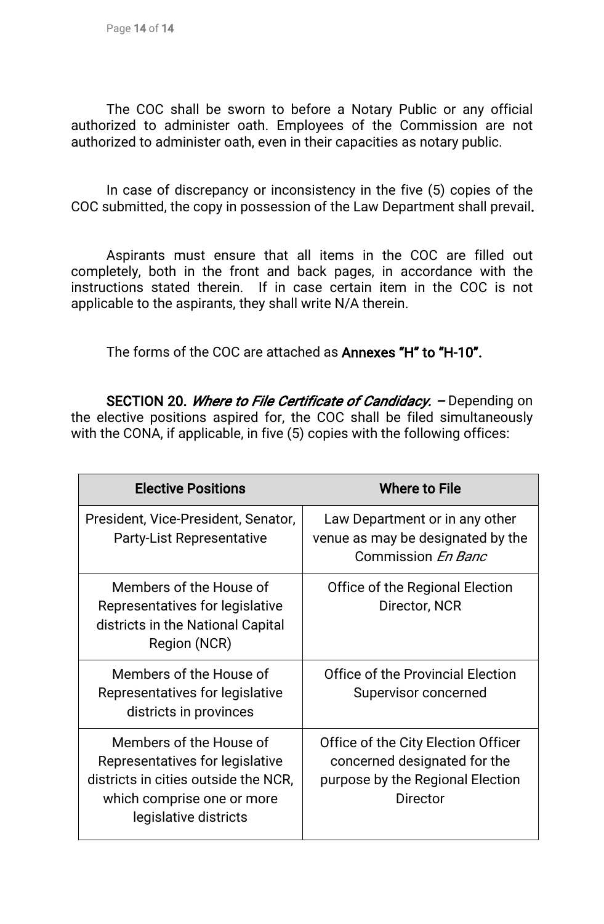Page 14 of 14

The COC shall be sworn to before a Notary Public or any official authorized to administer oath. Employees of the Commission are not authorized to administer oath, even in their capacities as notary public.

In case of discrepancy or inconsistency in the five (5) copies of the COC submitted, the copy in possession of the Law Department shall prevail.

Aspirants must ensure that all items in the COC are filled out completely, both in the front and back pages, in accordance with the instructions stated therein. If in case certain item in the COC is not applicable to the aspirants, they shall write N/A therein.

The forms of the COC are attached as **Annexes "H" to "H-10".** 

SECTION 20. Where to File Certificate of Candidacy. - Depending on the elective positions aspired for, the COC shall be filed simultaneously with the CONA, if applicable, in five (5) copies with the following offices:

| <b>Elective Positions</b>                                                                                                                                 | <b>Where to File</b>                                                                                                       |
|-----------------------------------------------------------------------------------------------------------------------------------------------------------|----------------------------------------------------------------------------------------------------------------------------|
| President, Vice-President, Senator,<br><b>Party-List Representative</b>                                                                                   | Law Department or in any other<br>venue as may be designated by the<br>Commission En Banc                                  |
| Members of the House of<br>Representatives for legislative<br>districts in the National Capital<br>Region (NCR)                                           | Office of the Regional Election<br>Director, NCR                                                                           |
| Members of the House of<br>Representatives for legislative<br>districts in provinces                                                                      | Office of the Provincial Election<br>Supervisor concerned                                                                  |
| Members of the House of<br>Representatives for legislative<br>districts in cities outside the NCR,<br>which comprise one or more<br>legislative districts | Office of the City Election Officer<br>concerned designated for the<br>purpose by the Regional Election<br><b>Director</b> |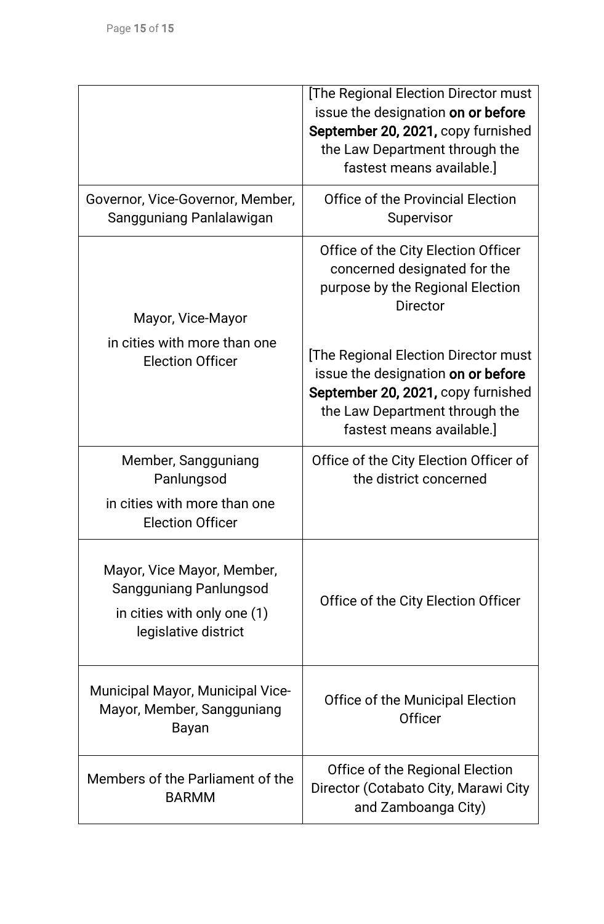|                                                                                                                    | [The Regional Election Director must<br>issue the designation on or before<br>September 20, 2021, copy furnished<br>the Law Department through the<br>fastest means available.]       |
|--------------------------------------------------------------------------------------------------------------------|---------------------------------------------------------------------------------------------------------------------------------------------------------------------------------------|
| Governor, Vice-Governor, Member,<br>Sangguniang Panlalawigan                                                       | <b>Office of the Provincial Election</b><br>Supervisor                                                                                                                                |
| Mayor, Vice-Mayor                                                                                                  | Office of the City Election Officer<br>concerned designated for the<br>purpose by the Regional Election<br><b>Director</b>                                                            |
| in cities with more than one<br><b>Election Officer</b>                                                            | <b>The Regional Election Director must</b><br>issue the designation on or before<br>September 20, 2021, copy furnished<br>the Law Department through the<br>fastest means available.] |
| Member, Sangguniang<br>Panlungsod<br>in cities with more than one<br><b>Election Officer</b>                       | Office of the City Election Officer of<br>the district concerned                                                                                                                      |
| Mayor, Vice Mayor, Member,<br><b>Sangguniang Panlungsod</b><br>in cities with only one (1)<br>legislative district | Office of the City Election Officer                                                                                                                                                   |
| <b>Municipal Mayor, Municipal Vice-</b><br>Mayor, Member, Sangguniang<br>Bayan                                     | Office of the Municipal Election<br><b>Officer</b>                                                                                                                                    |
| Members of the Parliament of the<br><b>BARMM</b>                                                                   | Office of the Regional Election<br>Director (Cotabato City, Marawi City<br>and Zamboanga City)                                                                                        |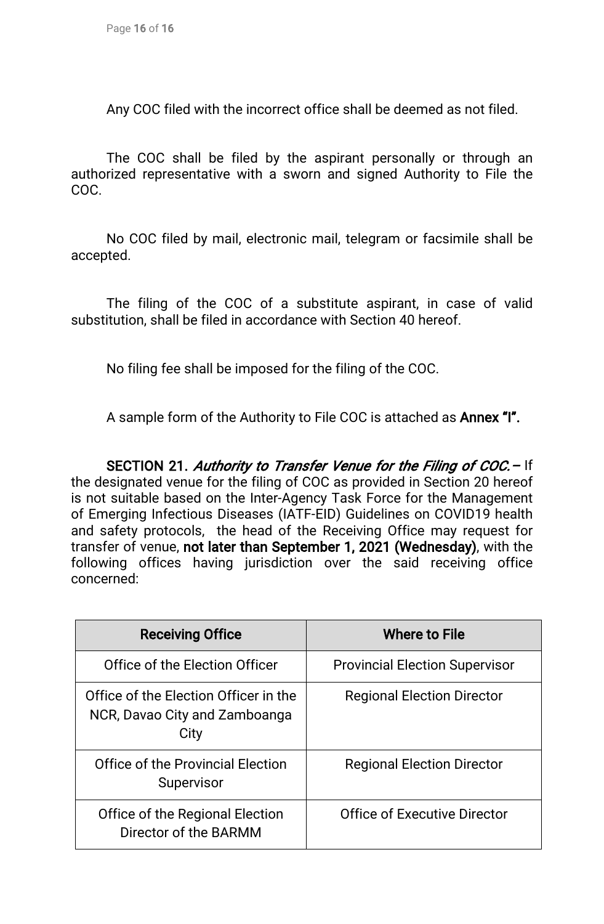Any COC filed with the incorrect office shall be deemed as not filed.

The COC shall be filed by the aspirant personally or through an authorized representative with a sworn and signed Authority to File the COC.

No COC filed by mail, electronic mail, telegram or facsimile shall be accepted.

The filing of the COC of a substitute aspirant, in case of valid substitution, shall be filed in accordance with Section 40 hereof.

No filing fee shall be imposed for the filing of the COC.

A sample form of the Authority to File COC is attached as **Annex "I".** 

SECTION 21. Authority to Transfer Venue for the Filing of COC. - If the designated venue for the filing of COC as provided in Section 20 hereof is not suitable based on the Inter-Agency Task Force for the Management of Emerging Infectious Diseases (IATF-EID) Guidelines on COVID19 health and safety protocols, the head of the Receiving Office may request for transfer of venue, not later than September 1, 2021 (Wednesday), with the following offices having jurisdiction over the said receiving office concerned:

| <b>Receiving Office</b>                                                        | <b>Where to File</b>                  |
|--------------------------------------------------------------------------------|---------------------------------------|
| Office of the Election Officer                                                 | <b>Provincial Election Supervisor</b> |
| Office of the Election Officer in the<br>NCR, Davao City and Zamboanga<br>City | <b>Regional Election Director</b>     |
| <b>Office of the Provincial Election</b><br>Supervisor                         | <b>Regional Election Director</b>     |
| Office of the Regional Election<br>Director of the BARMM                       | Office of Executive Director          |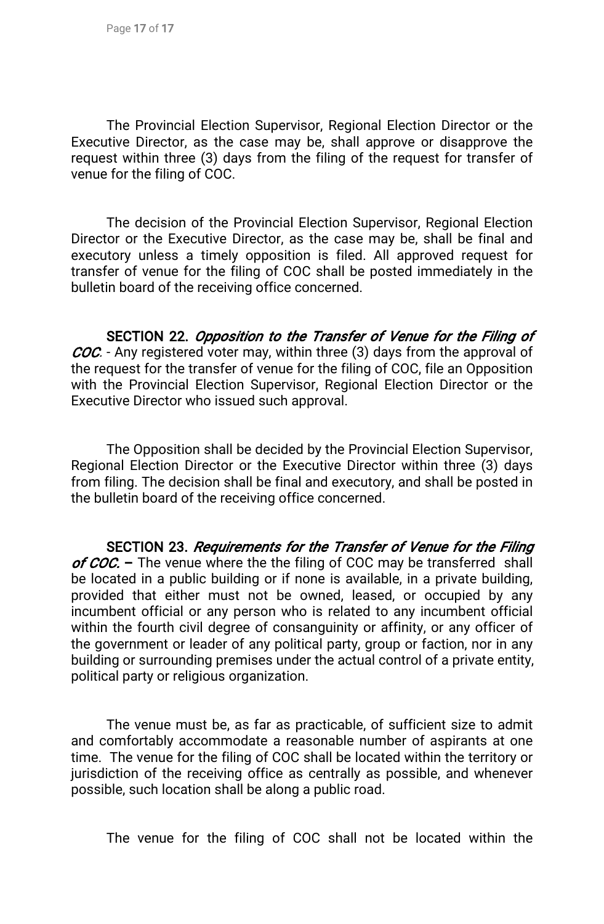The Provincial Election Supervisor, Regional Election Director or the Executive Director, as the case may be, shall approve or disapprove the request within three (3) days from the filing of the request for transfer of venue for the filing of COC.

The decision of the Provincial Election Supervisor, Regional Election Director or the Executive Director, as the case may be, shall be final and executory unless a timely opposition is filed. All approved request for transfer of venue for the filing of COC shall be posted immediately in the bulletin board of the receiving office concerned.

SECTION 22. Opposition to the Transfer of Venue for the Filing of COC. - Any registered voter may, within three (3) days from the approval of the request for the transfer of venue for the filing of COC, file an Opposition with the Provincial Election Supervisor, Regional Election Director or the Executive Director who issued such approval.

The Opposition shall be decided by the Provincial Election Supervisor, Regional Election Director or the Executive Director within three (3) days from filing. The decision shall be final and executory, and shall be posted in the bulletin board of the receiving office concerned.

SECTION 23. Requirements for the Transfer of Venue for the Filing of COC. – The venue where the the filing of COC may be transferred shall be located in a public building or if none is available, in a private building, provided that either must not be owned, leased, or occupied by any incumbent official or any person who is related to any incumbent official within the fourth civil degree of consanguinity or affinity, or any officer of the government or leader of any political party, group or faction, nor in any building or surrounding premises under the actual control of a private entity, political party or religious organization.

The venue must be, as far as practicable, of sufficient size to admit and comfortably accommodate a reasonable number of aspirants at one time. The venue for the filing of COC shall be located within the territory or jurisdiction of the receiving office as centrally as possible, and whenever possible, such location shall be along a public road.

The venue for the filing of COC shall not be located within the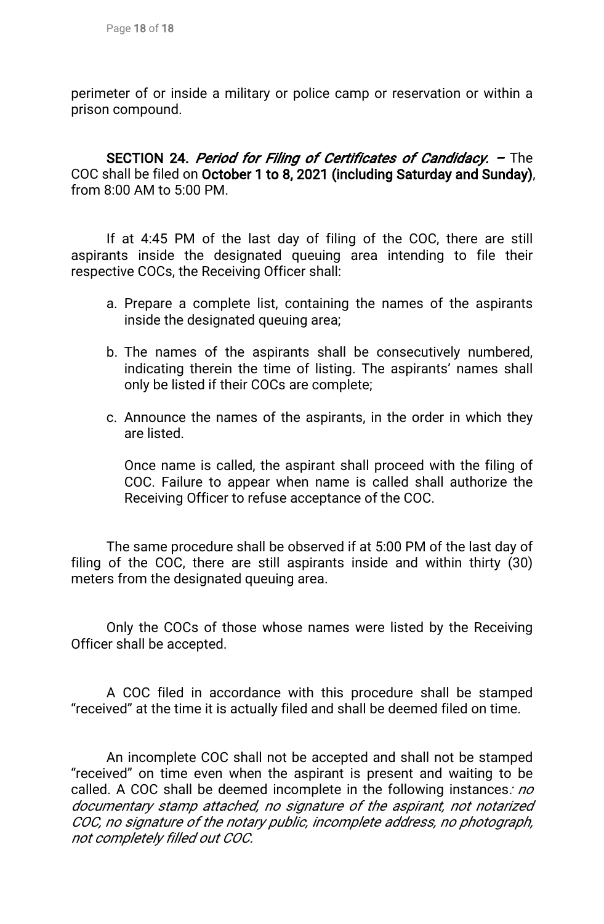perimeter of or inside a military or police camp or reservation or within a prison compound.

SECTION 24. Period for Filing of Certificates of Candidacy. - The COC shall be filed on October 1 to 8, 2021 (including Saturday and Sunday), from 8:00 AM to 5:00 PM.

If at 4:45 PM of the last day of filing of the COC, there are still aspirants inside the designated queuing area intending to file their respective COCs, the Receiving Officer shall:

- a. Prepare a complete list, containing the names of the aspirants inside the designated queuing area;
- b. The names of the aspirants shall be consecutively numbered, indicating therein the time of listing. The aspirants' names shall only be listed if their COCs are complete;
- c. Announce the names of the aspirants, in the order in which they are listed.

Once name is called, the aspirant shall proceed with the filing of COC. Failure to appear when name is called shall authorize the Receiving Officer to refuse acceptance of the COC.

The same procedure shall be observed if at 5:00 PM of the last day of filing of the COC, there are still aspirants inside and within thirty  $(30)$ meters from the designated queuing area.

Only the COCs of those whose names were listed by the Receiving Officer shall be accepted.

A COC filed in accordance with this procedure shall be stamped "received" at the time it is actually filed and shall be deemed filed on time.

An incomplete COC shall not be accepted and shall not be stamped "received" on time even when the aspirant is present and waiting to be called. A COC shall be deemed incomplete in the following instances: no documentary stamp attached, no signature of the aspirant, not notarized COC, no signature of the notary public, incomplete address, no photograph, not completely filled out COC.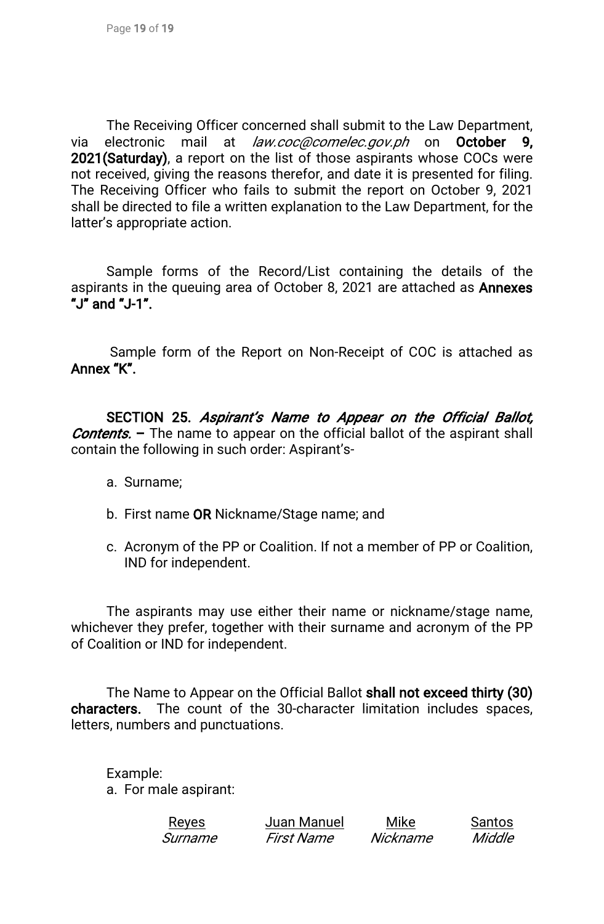The Receiving Officer concerned shall submit to the Law Department, via electronic mail at law.coc@comelec.gov.ph on October 9, 2021(Saturday), a report on the list of those aspirants whose COCs were not received, giving the reasons therefor, and date it is presented for filing. The Receiving Officer who fails to submit the report on October 9, 2021 shall be directed to file a written explanation to the Law Department, for the latter's appropriate action.

Sample forms of the Record/List containing the details of the aspirants in the queuing area of October 8, 2021 are attached as **Annexes** "J"and"J-1".

Sample form of the Report on Non-Receipt of COC is attached as Annex "K".

SECTION 25. Aspirant's Name to Appear on the Official Ballot, **Contents.** – The name to appear on the official ballot of the aspirant shall contain the following in such order: Aspirant's-

- a. Surname;
- b. First name OR Nickname/Stage name; and
- c. Acronym of the PP or Coalition. If not a member of PP or Coalition, IND for independent.

The aspirants may use either their name or nickname/stage name, whichever they prefer, together with their surname and acronym of the PP of Coalition or IND for independent.

The Name to Appear on the Official Ballot shall not exceed thirty (30) characters. The count of the 30-character limitation includes spaces, letters, numbers and punctuations.

Example: a. For male aspirant:

| <u>Reyes</u> | Juan Manuel | Mike     | Santos |
|--------------|-------------|----------|--------|
| Surname      | First Name  | Nickname | Middle |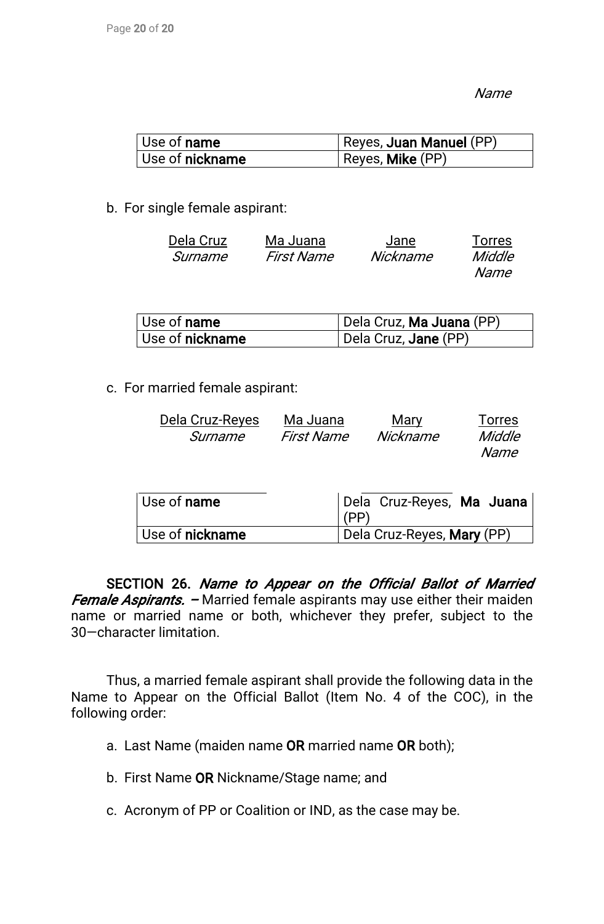Name

| Use of <b>name</b>     | Reyes, Juan Manuel (PP) |
|------------------------|-------------------------|
| Use of <b>nickname</b> | Reyes, Mike (PP)        |

b. For single female aspirant:

| Dela Cruz | Ma Juana          | Jane     | <b>Torres</b> |
|-----------|-------------------|----------|---------------|
| Surname   | <b>First Name</b> | Nickname | Middle        |
|           |                   |          | Name          |

| $^\shortparallel$ Use of $\boldsymbol{\mathsf{name}}$ . | Dela Cruz, Ma Juana (PP) |
|---------------------------------------------------------|--------------------------|
| Use of <b>nickname</b>                                  | Dela Cruz, Jane (PP)     |

c. For married female aspirant:

| Dela Cruz-Reyes | Ma Juana   | Mary     | <b>Torres</b> |
|-----------------|------------|----------|---------------|
| Surname         | First Name | Nickname | Middle        |
|                 |            |          | Name          |
|                 |            |          |               |

| $\vert$ Use of <b>name</b> | Dela Cruz-Reyes, Ma Juana<br>(PP) |
|----------------------------|-----------------------------------|
| Use of nickname            | Dela Cruz-Reyes, Mary (PP)        |

SECTION 26. Name to Appear on the Official Ballot of Married Female Aspirants. – Married female aspirants may use either their maiden name or married name or both, whichever they prefer, subject to the 30-character limitation.

Thus, a married female aspirant shall provide the following data in the Name to Appear on the Official Ballot (Item No. 4 of the COC), in the following order:

- a. Last Name (maiden name OR married name OR both);
- b. First Name OR Nickname/Stage name; and
- c. Acronym of PP or Coalition or IND, as the case may be.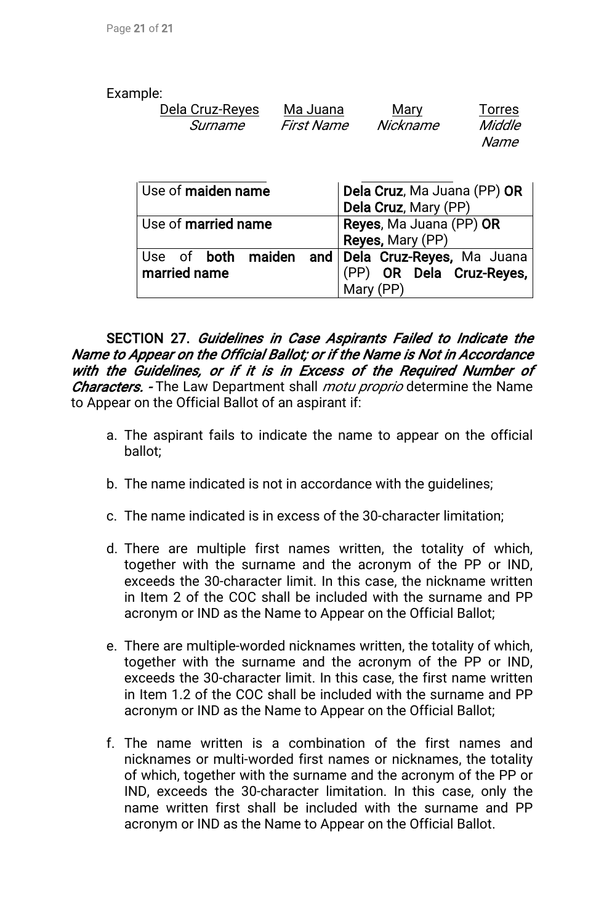#### Example:

| Dela Cruz-Reyes | Ma Juana   | Mary     | <b>Torres</b> |
|-----------------|------------|----------|---------------|
| Surname         | First Name | Nickname | Middle        |
|                 |            |          | Name          |

| Use of maiden name                                               | Dela Cruz, Ma Juana (PP) OR<br>Dela Cruz, Mary (PP) |  |
|------------------------------------------------------------------|-----------------------------------------------------|--|
| Use of married name                                              | Reyes, Ma Juana (PP) OR<br>Reyes, Mary (PP)         |  |
| Use of both maiden and Dela Cruz-Reyes, Ma Juana<br>married name | (PP) OR Dela Cruz-Reyes,<br>Mary (PP)               |  |

SECTION 27. Guidelines in Case Aspirants Failed to Indicate the Name to Appear on the Official Ballot; or if the Name is Not in Accordance with the Guidelines, or if it is in Excess of the Required Number of Characters. - The Law Department shall *motu proprio* determine the Name to Appear on the Official Ballot of an aspirant if:

- a. The aspirant fails to indicate the name to appear on the official ballot;
- b. The name indicated is not in accordance with the guidelines;
- c. The name indicated is in excess of the 30-character limitation;
- d. There are multiple first names written, the totality of which, together with the surname and the acronym of the PP or IND, exceeds the 30-character limit. In this case, the nickname written in Item 2 of the COC shall be included with the surname and PP acronym or IND as the Name to Appear on the Official Ballot;
- e. There are multiple-worded nicknames written, the totality of which, together with the surname and the acronym of the PP or IND, exceeds the 30-character limit. In this case, the first name written in Item 1.2 of the COC shall be included with the surname and PP acronym or IND as the Name to Appear on the Official Ballot;
- f. The name written is a combination of the first names and nicknames or multi-worded first names or nicknames, the totality of which, together with the surname and the acronym of the PP or IND, exceeds the 30-character limitation. In this case, only the name written first shall be included with the surname and PP acronym or IND as the Name to Appear on the Official Ballot.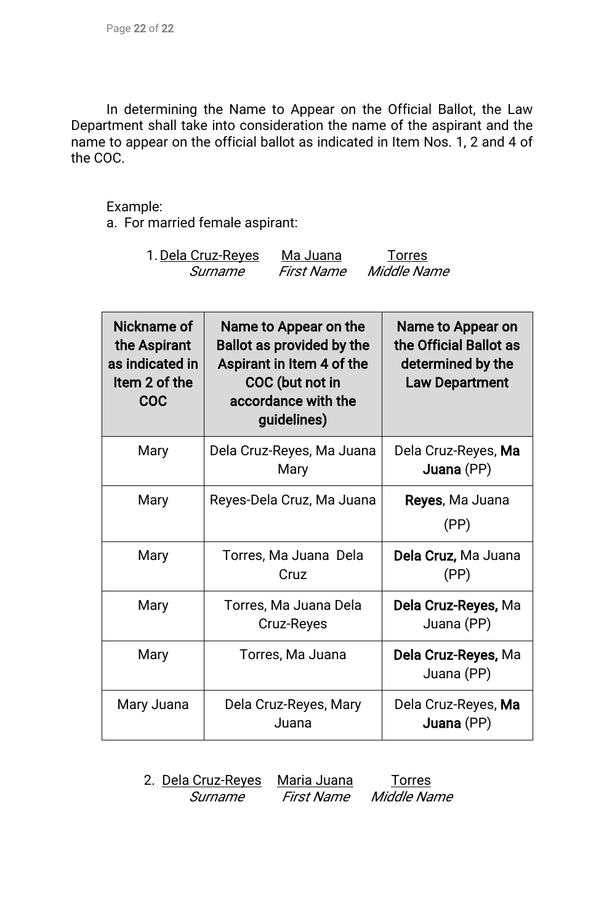In determining the Name to Appear on the Official Ballot, the Law Department shall take into consideration the name of the aspirant and the name to appear on the official ballot as indicated in Item Nos. 1, 2 and 4 of the COC.

#### Example:

a. For married female aspirant:

| 1. Dela Cruz-Reyes | Ma Juana   | <b>Torres</b> |
|--------------------|------------|---------------|
| Surname            | First Name | Middle Name   |

| Nickname of<br>the Aspirant<br>as indicated in<br>Item 2 of the<br>COC | Name to Appear on the<br><b>Ballot as provided by the</b><br>Aspirant in Item 4 of the<br>COC (but not in<br>accordance with the<br>guidelines) | Name to Appear on<br>the Official Ballot as<br>determined by the<br><b>Law Department</b> |
|------------------------------------------------------------------------|-------------------------------------------------------------------------------------------------------------------------------------------------|-------------------------------------------------------------------------------------------|
| Mary                                                                   | Dela Cruz-Reyes, Ma Juana<br>Mary                                                                                                               | Dela Cruz-Reyes, Ma<br>Juana (PP)                                                         |
| Mary                                                                   | Reyes-Dela Cruz, Ma Juana                                                                                                                       | Reyes, Ma Juana<br>(PP)                                                                   |
| Mary                                                                   | Torres, Ma Juana Dela<br>Cruz                                                                                                                   | Dela Cruz, Ma Juana<br>(PP)                                                               |
| Mary                                                                   | Torres, Ma Juana Dela<br><b>Cruz-Reyes</b>                                                                                                      | Dela Cruz-Reyes, Ma<br>Juana (PP)                                                         |
| Mary                                                                   | Torres, Ma Juana                                                                                                                                | Dela Cruz-Reyes, Ma<br>Juana (PP)                                                         |
| Mary Juana                                                             | Dela Cruz-Reyes, Mary<br>Juana                                                                                                                  | Dela Cruz-Reyes, Ma<br>Juana (PP)                                                         |

2. Dela Cruz-Reyes Maria Juana Torres Surname First Name Middle Name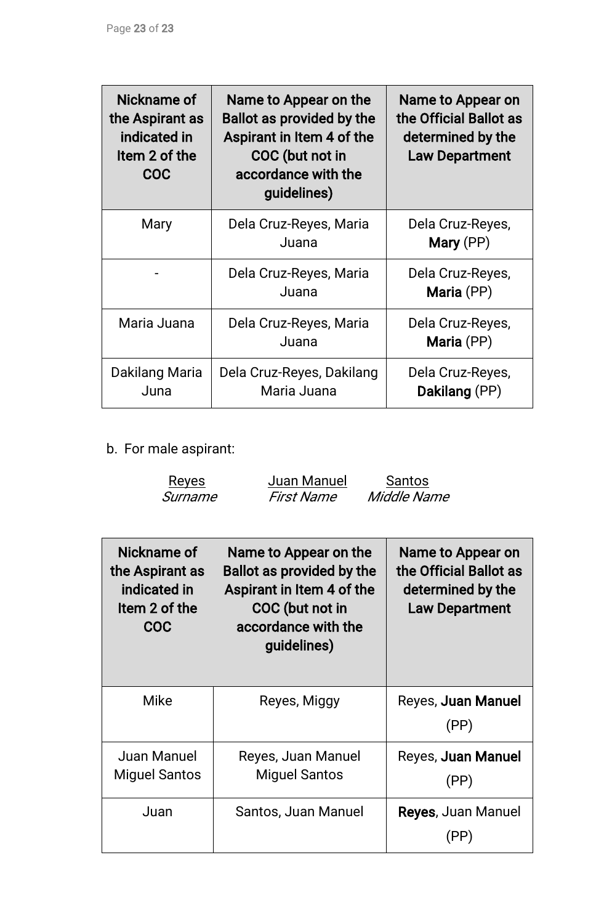| Nickname of<br>the Aspirant as<br>indicated in<br>Item 2 of the<br>COC | Name to Appear on the<br><b>Ballot as provided by the</b><br>Aspirant in Item 4 of the<br>COC (but not in<br>accordance with the<br>guidelines) | Name to Appear on<br>the Official Ballot as<br>determined by the<br><b>Law Department</b> |
|------------------------------------------------------------------------|-------------------------------------------------------------------------------------------------------------------------------------------------|-------------------------------------------------------------------------------------------|
| Mary                                                                   | Dela Cruz-Reyes, Maria<br>Juana                                                                                                                 | Dela Cruz-Reyes,<br>Mary (PP)                                                             |
|                                                                        | Dela Cruz-Reyes, Maria<br>Juana                                                                                                                 | Dela Cruz-Reyes,<br>Maria (PP)                                                            |
| Maria Juana                                                            | Dela Cruz-Reyes, Maria<br>Juana                                                                                                                 | Dela Cruz-Reyes,<br>Maria (PP)                                                            |
| Dakilang Maria<br>Juna                                                 | Dela Cruz-Reyes, Dakilang<br>Maria Juana                                                                                                        | Dela Cruz-Reyes,<br>Dakilang (PP)                                                         |

b. For male aspirant:

| Juan Manuel<br>Santos<br><u>Reyes</u><br>First Name<br>Middle Name<br>Surname |                                                                                                                                                 |                                                                                           |
|-------------------------------------------------------------------------------|-------------------------------------------------------------------------------------------------------------------------------------------------|-------------------------------------------------------------------------------------------|
| Nickname of<br>the Aspirant as<br>indicated in<br>Item 2 of the<br><b>COC</b> | Name to Appear on the<br><b>Ballot as provided by the</b><br>Aspirant in Item 4 of the<br>COC (but not in<br>accordance with the<br>guidelines) | Name to Appear on<br>the Official Ballot as<br>determined by the<br><b>Law Department</b> |
| <b>Mike</b>                                                                   | Reyes, Miggy                                                                                                                                    | Reyes, Juan Manuel<br>(PP)                                                                |
| <b>Juan Manuel</b><br><b>Miguel Santos</b>                                    | Reyes, Juan Manuel<br><b>Miguel Santos</b>                                                                                                      | Reyes, Juan Manuel<br>(PP)                                                                |
| Juan                                                                          | Santos, Juan Manuel                                                                                                                             | Reyes, Juan Manuel<br>(PP)                                                                |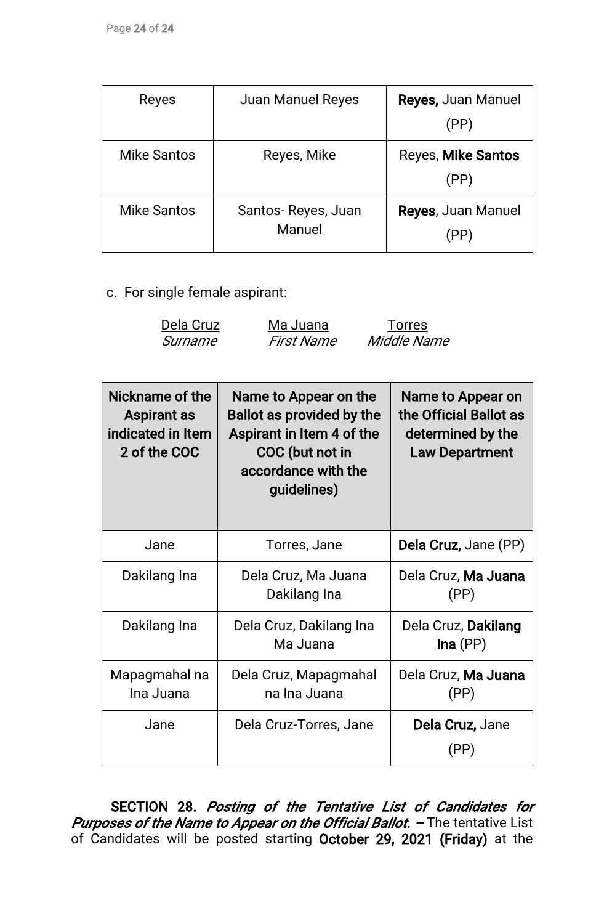| Reyes              | <b>Juan Manuel Reyes</b>     | <b>Reyes, Juan Manuel</b><br>(PP) |
|--------------------|------------------------------|-----------------------------------|
| <b>Mike Santos</b> | Reyes, Mike                  | Reyes, Mike Santos<br>(PP)        |
| <b>Mike Santos</b> | Santos-Reyes, Juan<br>Manuel | <b>Reyes, Juan Manuel</b>         |

c. For single female aspirant:

| Dela Cruz | Ma Juana          | <b>Torres</b> |
|-----------|-------------------|---------------|
| Surname   | <i>First Name</i> | Middle Name   |

| Nickname of the<br><b>Aspirant as</b><br>indicated in Item<br>2 of the COC | Name to Appear on the<br>Ballot as provided by the<br>Aspirant in Item 4 of the<br>COC (but not in<br>accordance with the<br>guidelines) | Name to Appear on<br>the Official Ballot as<br>determined by the<br><b>Law Department</b> |
|----------------------------------------------------------------------------|------------------------------------------------------------------------------------------------------------------------------------------|-------------------------------------------------------------------------------------------|
| Jane                                                                       | Torres, Jane                                                                                                                             | Dela Cruz, Jane (PP)                                                                      |
| Dakilang Ina                                                               | Dela Cruz, Ma Juana<br>Dakilang Ina                                                                                                      | Dela Cruz, Ma Juana<br>(PP)                                                               |
| Dakilang Ina                                                               | Dela Cruz, Dakilang Ina<br>Ma Juana                                                                                                      | Dela Cruz, Dakilang<br>Ina(PP)                                                            |
| Mapagmahal na<br>Ina Juana                                                 | Dela Cruz, Mapagmahal<br>na Ina Juana                                                                                                    | Dela Cruz, Ma Juana<br>(PP)                                                               |
| Jane                                                                       | Dela Cruz-Torres, Jane                                                                                                                   | Dela Cruz, Jane<br>(PP)                                                                   |

SECTION 28. Posting of the Tentative List of Candidates for Purposes of the Name to Appear on the Official Ballot. - The tentative List of Candidates will be posted starting October 29, 2021 (Friday) at the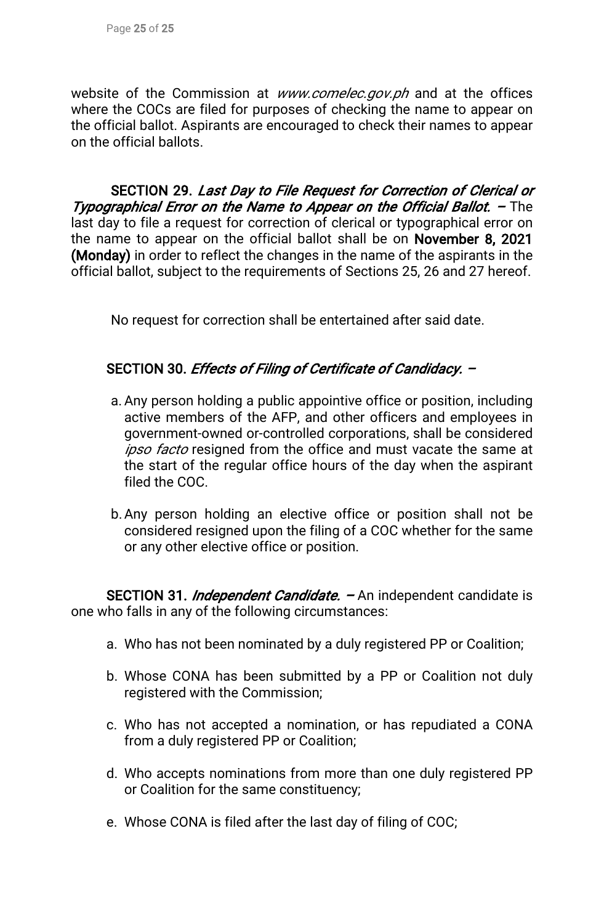website of the Commission at www.comelec.gov.ph and at the offices where the COCs are filed for purposes of checking the name to appear on the official ballot. Aspirants are encouraged to check their names to appear on the official ballots.

SECTION 29. Last Day to File Request for Correction of Clerical or Typographical Error on the Name to Appear on the Official Ballot. - The last day to file a request for correction of clerical or typographical error on the name to appear on the official ballot shall be on November 8, 2021 (Monday) in order to reflect the changes in the name of the aspirants in the official ballot, subject to the requirements of Sections 25, 26 and 27 hereof.

No request for correction shall be entertained after said date.

## SECTION 30. Effects of Filing of Certificate of Candidacy. -

- a. Any person holding a public appointive office or position, including active members of the AFP, and other officers and employees in government-owned or-controlled corporations, shall be considered ipso facto resigned from the office and must vacate the same at the start of the regular office hours of the day when the aspirant filed the COC.
- b. Any person holding an elective office or position shall not be considered resigned upon the filing of a COC whether for the same or any other elective office or position.

SECTION 31. *Independent Candidate.* – An independent candidate is one who falls in any of the following circumstances:

- a. Who has not been nominated by a duly registered PP or Coalition;
- b. Whose CONA has been submitted by a PP or Coalition not duly registered with the Commission;
- c. Who has not accepted a nomination, or has repudiated a CONA from a duly registered PP or Coalition;
- d. Who accepts nominations from more than one duly registered PP or Coalition for the same constituency;
- e. Whose CONA is filed after the last day of filing of COC;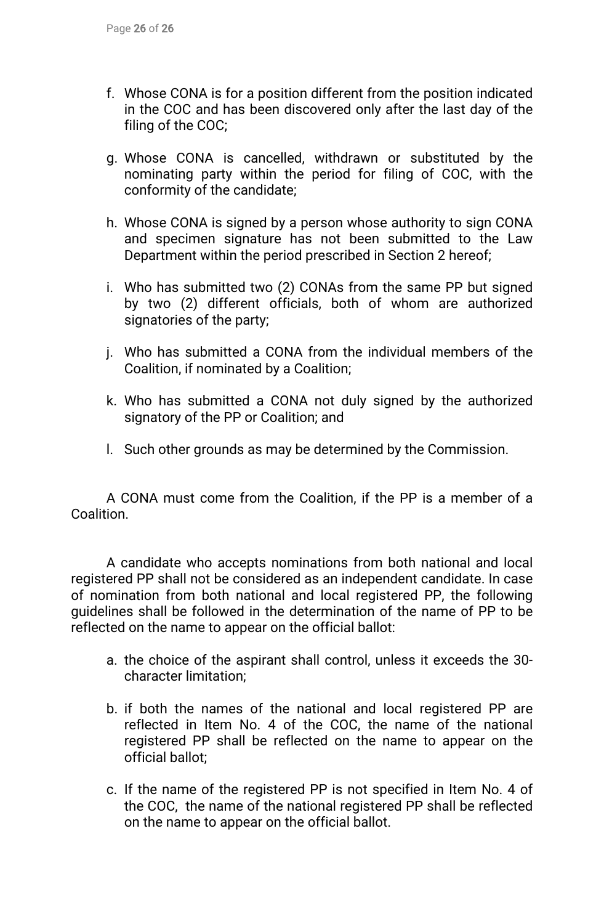- f. Whose CONA is for a position different from the position indicated in the COC and has been discovered only after the last day of the filing of the COC;
- g. Whose CONA is cancelled, withdrawn or substituted by the nominating party within the period for filing of COC, with the conformity of the candidate;
- h. Whose CONA is signed by a person whose authority to sign CONA and specimen signature has not been submitted to the Law Department within the period prescribed in Section 2 hereof;
- i. Who has submitted two (2) CONAs from the same PP but signed by two (2) different officials, both of whom are authorized signatories of the party;
- j. Who has submitted a CONA from the individual members of the Coalition, if nominated by a Coalition;
- k. Who has submitted a CONA not duly signed by the authorized signatory of the PP or Coalition; and
- I. Such other grounds as may be determined by the Commission.

A CONA must come from the Coalition, if the PP is a member of a Coalition.

A candidate who accepts nominations from both national and local registered PP shall not be considered as an independent candidate. In case of nomination from both national and local registered PP, the following guidelines shall be followed in the determination of the name of PP to be reflected on the name to appear on the official ballot:

- a. the choice of the aspirant shall control, unless it exceeds the 30character limitation:
- b. if both the names of the national and local registered PP are reflected in Item No. 4 of the COC, the name of the national registered PP shall be reflected on the name to appear on the official ballot:
- c. If the name of the registered PP is not specified in Item No. 4 of the COC, the name of the national registered PP shall be reflected on the name to appear on the official ballot.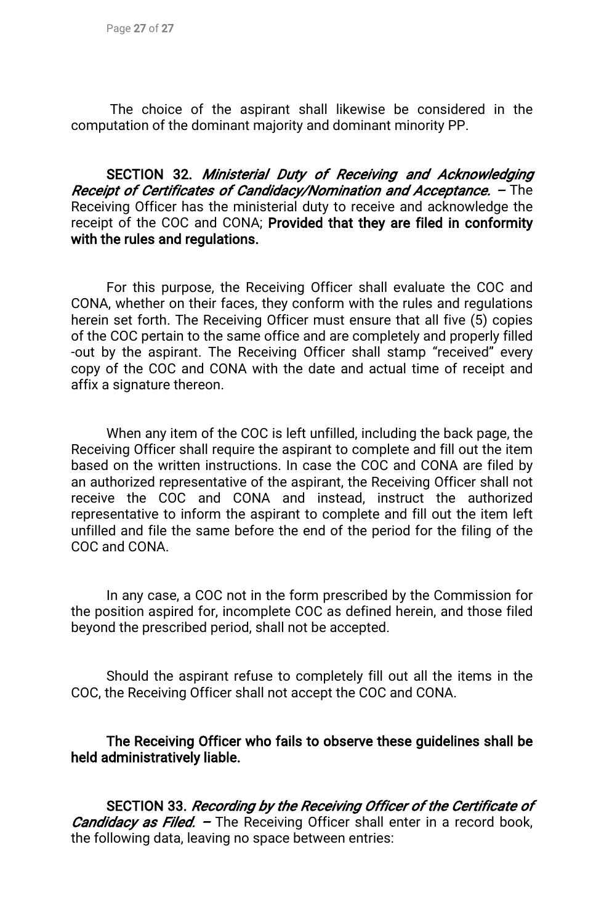The choice of the aspirant shall likewise be considered in the computation of the dominant majority and dominant minority PP.

SECTION 32. Ministerial Duty of Receiving and Acknowledging Receipt of Certificates of Candidacy/Nomination and Acceptance. - The Receiving Officer has the ministerial duty to receive and acknowledge the receipt of the COC and CONA; Provided that they are filed in conformity with the rules and regulations.

For this purpose, the Receiving Officer shall evaluate the COC and CONA, whether on their faces, they conform with the rules and regulations herein set forth. The Receiving Officer must ensure that all five (5) copies of the COC pertain to the same office and are completely and properly filled -out by the aspirant. The Receiving Officer shall stamp "received" every copy of the COC and CONA with the date and actual time of receipt and affix a signature thereon.

When any item of the COC is left unfilled, including the back page, the Receiving Officer shall require the aspirant to complete and fill out the item based on the written instructions. In case the COC and CONA are filed by an authorized representative of the aspirant, the Receiving Officer shall not receive the COC and CONA and instead, instruct the authorized representative to inform the aspirant to complete and fill out the item left unfilled and file the same before the end of the period for the filing of the COC and CONA.

In any case, a COC not in the form prescribed by the Commission for the position aspired for, incomplete COC as defined herein, and those filed beyond the prescribed period, shall not be accepted.

Should the aspirant refuse to completely fill out all the items in the COC, the Receiving Officer shall not accept the COC and CONA.

The Receiving Officer who fails to observe these guidelines shall be held administratively liable.

SECTION 33. Recording by the Receiving Officer of the Certificate of *Candidacy as Filed.* – The Receiving Officer shall enter in a record book, the following data, leaving no space between entries: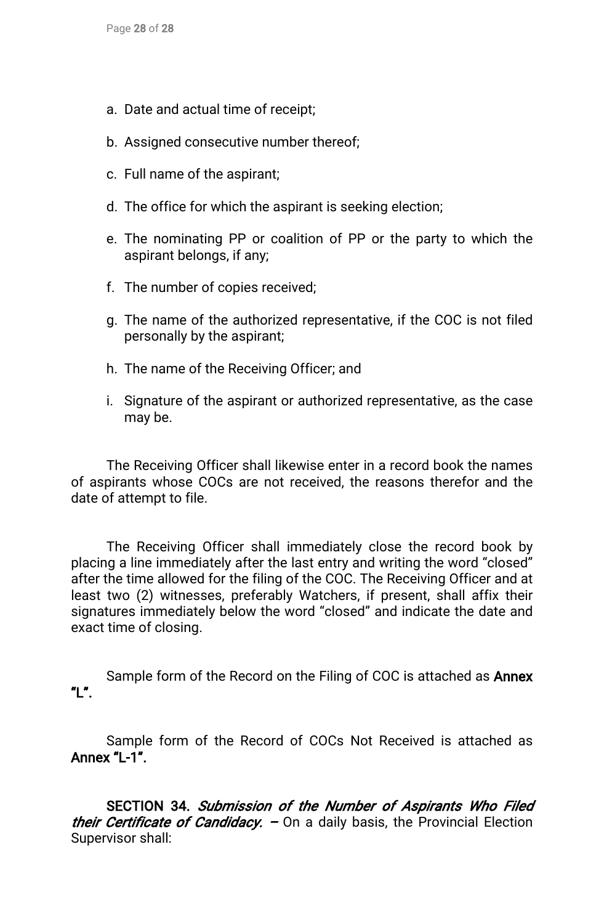- a. Date and actual time of receipt;
- b. Assigned consecutive number thereof;
- c. Full name of the aspirant;
- d. The office for which the aspirant is seeking election;
- e. The nominating PP or coalition of PP or the party to which the aspirant belongs, if any;
- f. The number of copies received;
- g. The name of the authorized representative, if the COC is not filed personally by the aspirant;
- h. The name of the Receiving Officer; and
- i. Signature of the aspirant or authorized representative, as the case may be.

The Receiving Officer shall likewise enter in a record book the names of aspirants whose COCs are not received, the reasons therefor and the date of attempt to file.

The Receiving Officer shall immediately close the record book by placing a line immediately after the last entry and writing the word "closed" after the time allowed for the filing of the COC. The Receiving Officer and at least two (2) witnesses, preferably Watchers, if present, shall affix their signatures immediately below the word "closed" and indicate the date and exact time of closing.

Sample form of the Record on the Filing of COC is attached as **Annex** "L".

Sample form of the Record of COCs Not Received is attached as Annex"L-1".

SECTION 34. Submission of the Number of Aspirants Who Filed their Certificate of Candidacy.  $-$  On a daily basis, the Provincial Election Supervisor shall: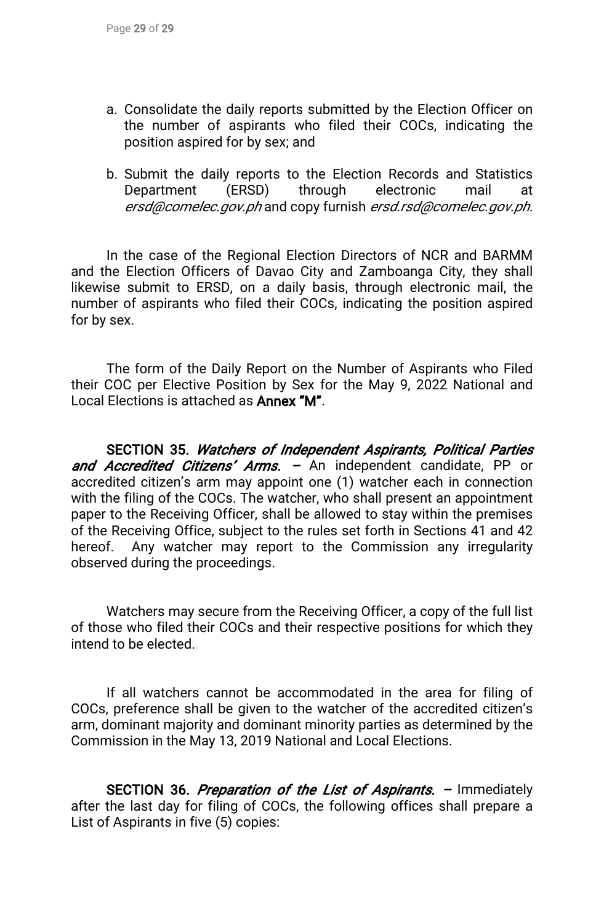- a. Consolidate the daily reports submitted by the Election Officer on the number of aspirants who filed their COCs, indicating the position aspired for by sex; and
- b. Submit the daily reports to the Election Records and Statistics Department (ERSD) through electronic mail at ersd@comelec.gov.ph and copy furnish ersd.rsd@comelec.gov.ph.

In the case of the Regional Election Directors of NCR and BARMM and the Election Officers of Davao City and Zamboanga City, they shall likewise submit to ERSD, on a daily basis, through electronic mail, the number of aspirants who filed their COCs, indicating the position aspired for by sex.

The form of the Daily Report on the Number of Aspirants who Filed their COC per Elective Position by Sex for the May 9, 2022 National and Local Elections is attached as **Annex "M".** 

SECTION 35. Watchers of Independent Aspirants, Political Parties and Accredited Citizens' Arms. - An independent candidate, PP or accredited citizen's arm may appoint one (1) watcher each in connection with the filing of the COCs. The watcher, who shall present an appointment paper to the Receiving Officer, shall be allowed to stay within the premises of the Receiving Office, subject to the rules set forth in Sections 41 and 42 hereof. Any watcher may report to the Commission any irregularity observed during the proceedings.

Watchers may secure from the Receiving Officer, a copy of the full list of those who filed their COCs and their respective positions for which they intend to be elected.

If all watchers cannot be accommodated in the area for filing of COCs, preference shall be given to the watcher of the accredited citizen's arm, dominant majority and dominant minority parties as determined by the Commission in the May 13, 2019 National and Local Elections.

SECTION 36. Preparation of the List of Aspirants. – Immediately after the last day for filing of COCs, the following offices shall prepare a List of Aspirants in five (5) copies: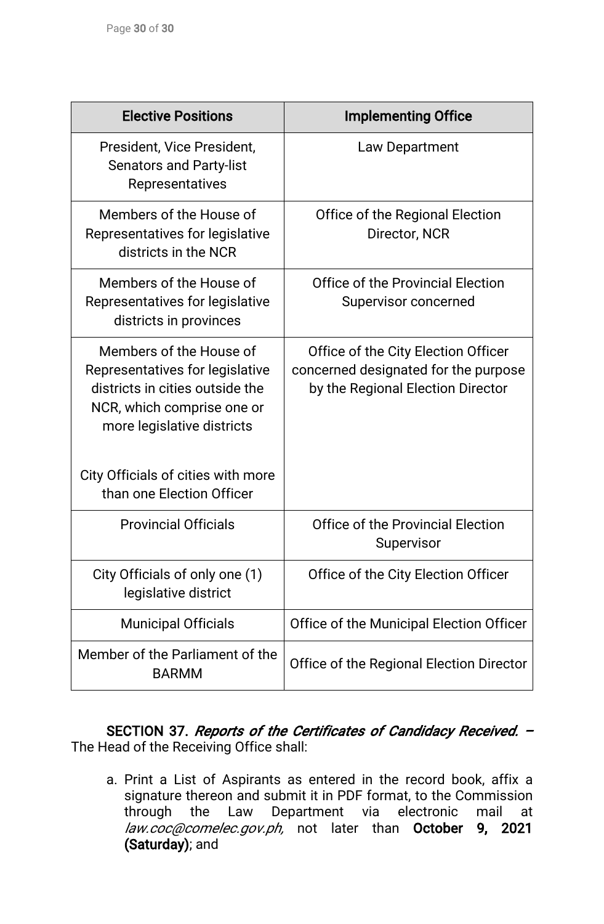| <b>Elective Positions</b>                                                                                                                                 | <b>Implementing Office</b>                                                                                       |
|-----------------------------------------------------------------------------------------------------------------------------------------------------------|------------------------------------------------------------------------------------------------------------------|
| President, Vice President,<br><b>Senators and Party-list</b><br>Representatives                                                                           | Law Department                                                                                                   |
| Members of the House of<br>Representatives for legislative<br>districts in the NCR                                                                        | Office of the Regional Election<br>Director, NCR                                                                 |
| Members of the House of<br>Representatives for legislative<br>districts in provinces                                                                      | <b>Office of the Provincial Election</b><br>Supervisor concerned                                                 |
| Members of the House of<br>Representatives for legislative<br>districts in cities outside the<br>NCR, which comprise one or<br>more legislative districts | Office of the City Election Officer<br>concerned designated for the purpose<br>by the Regional Election Director |
| City Officials of cities with more<br>than one Election Officer                                                                                           |                                                                                                                  |
| <b>Provincial Officials</b>                                                                                                                               | <b>Office of the Provincial Election</b><br>Supervisor                                                           |
| City Officials of only one (1)<br>legislative district                                                                                                    | Office of the City Election Officer                                                                              |
| <b>Municipal Officials</b>                                                                                                                                | Office of the Municipal Election Officer                                                                         |
| Member of the Parliament of the<br><b>BARMM</b>                                                                                                           | Office of the Regional Election Director                                                                         |

SECTION 37. Reports of the Certificates of Candidacy Received. -The Head of the Receiving Office shall:

a. Print a List of Aspirants as entered in the record book, affix a signature thereon and submit it in PDF format, to the Commission through the Law Department via electronic mail at law.coc@comelec.gov.ph, not later than October 9, 2021 (Saturday); and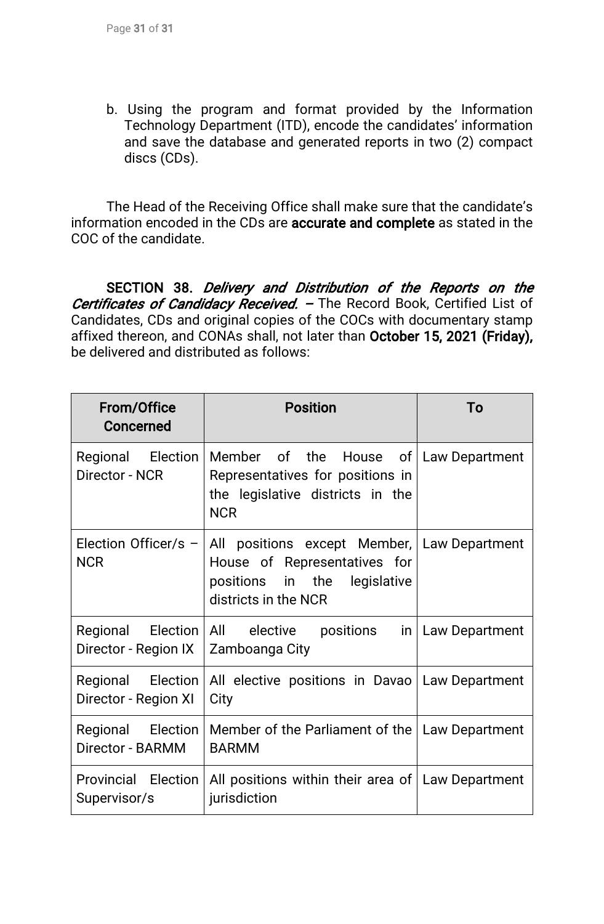b. Using the program and format provided by the Information Technology Department (ITD), encode the candidates' information and save the database and generated reports in two (2) compact discs(CDs).

The Head of the Receiving Office shall make sure that the candidate's information encoded in the CDs are **accurate and complete** as stated in the COC of the candidate.

SECTION 38. Delivery and Distribution of the Reports on the Certificates of Candidacy Received. - The Record Book, Certified List of Candidates, CDs and original copies of the COCs with documentary stamp affixed thereon, and CONAs shall, not later than October 15, 2021 (Friday), be delivered and distributed as follows:

| <b>From/Office</b><br>Concerned                        | <b>Position</b>                                                                                                                                            | To                    |
|--------------------------------------------------------|------------------------------------------------------------------------------------------------------------------------------------------------------------|-----------------------|
| Regional Election<br>Director - NCR                    | Member of the House of Law Department<br>Representatives for positions in<br>the legislative districts in the<br><b>NCR</b>                                |                       |
| <b>NCR</b>                                             | Election Officer/s $-$ All positions except Member, Law Department<br>House of Representatives for<br>positions in the legislative<br>districts in the NCR |                       |
| Regional Election All elective<br>Director - Region IX | positions<br>Zamboanga City                                                                                                                                | $in$   Law Department |
| Regional Election<br>Director - Region XI              | All elective positions in Davao Law Department<br>City                                                                                                     |                       |
| Regional Election<br>Director - BARMM                  | Member of the Parliament of the   Law Department<br><b>BARMM</b>                                                                                           |                       |
| Provincial Election<br>Supervisor/s                    | All positions within their area of   Law Department<br>jurisdiction                                                                                        |                       |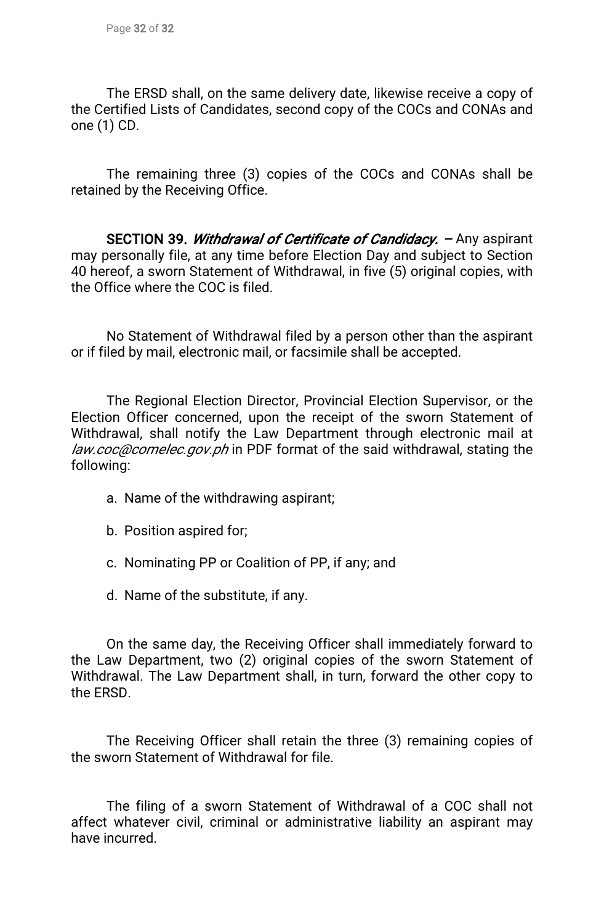The ERSD shall, on the same delivery date, likewise receive a copy of the Certified Lists of Candidates, second copy of the COCs and CONAs and one  $(1)$  CD.

The remaining three (3) copies of the COCs and CONAs shall be retained by the Receiving Office.

SECTION 39. Withdrawal of Certificate of Candidacy. - Any aspirant may personally file, at any time before Election Day and subject to Section 40 hereof, a sworn Statement of Withdrawal, in five (5) original copies, with the Office where the COC is filed.

No Statement of Withdrawal filed by a person other than the aspirant or if filed by mail, electronic mail, or facsimile shall be accepted.

The Regional Election Director, Provincial Election Supervisor, or the Election Officer concerned, upon the receipt of the sworn Statement of Withdrawal, shall notify the Law Department through electronic mail at law.coc@comelec.gov.ph in PDF format of the said withdrawal, stating the following:

- a. Name of the withdrawing aspirant;
- b. Position aspired for;
- c. Nominating PP or Coalition of PP, if any; and
- d. Name of the substitute, if any.

On the same day, the Receiving Officer shall immediately forward to the Law Department, two (2) original copies of the sworn Statement of Withdrawal. The Law Department shall, in turn, forward the other copy to the ERSD.

The Receiving Officer shall retain the three (3) remaining copies of the sworn Statement of Withdrawal for file.

The filing of a sworn Statement of Withdrawal of a COC shall not affect whatever civil, criminal or administrative liability an aspirant may have incurred.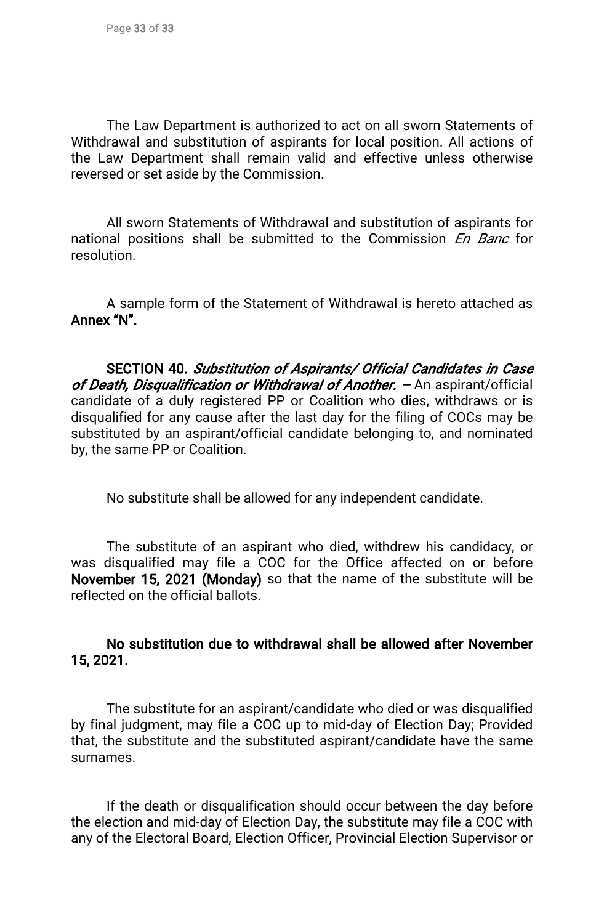The Law Department is authorized to act on all sworn Statements of Withdrawal and substitution of aspirants for local position. All actions of the Law Department shall remain valid and effective unless otherwise reversed or set aside by the Commission.

All sworn Statements of Withdrawal and substitution of aspirants for national positions shall be submitted to the Commission En Banc for resolution.

A sample form of the Statement of Withdrawal is hereto attached as Annex"N".

SECTION 40. Substitution of Aspirants/ Official Candidates in Case of Death, Disqualification or Withdrawal of Another.  $-$  An aspirant/official candidate of a duly registered PP or Coalition who dies, withdraws or is disqualified for any cause after the last day for the filing of COCs may be substituted by an aspirant/official candidate belonging to, and nominated by, the same PP or Coalition.

No substitute shall be allowed for any independent candidate.

The substitute of an aspirant who died, withdrew his candidacy, or was disqualified may file a COC for the Office affected on or before November 15, 2021 (Monday) so that the name of the substitute will be reflected on the official ballots.

## No substitution due to withdrawal shall be allowed after November 15,2021.

The substitute for an aspirant/candidate who died or was disqualified by final judgment, may file a COC up to mid-day of Election Day; Provided that, the substitute and the substituted aspirant/candidate have the same surnames.

If the death or disqualification should occur between the day before the election and mid-day of Election Day, the substitute may file a COC with any of the Electoral Board, Election Officer, Provincial Election Supervisor or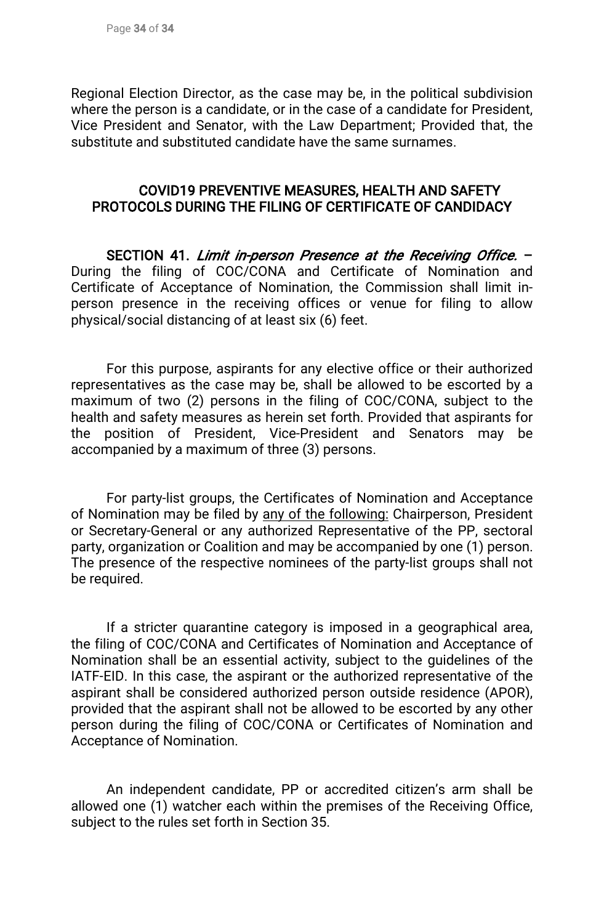Regional Election Director, as the case may be, in the political subdivision where the person is a candidate, or in the case of a candidate for President, Vice President and Senator, with the Law Department; Provided that, the substitute and substituted candidate have the same surnames.

#### COVID19 PREVENTIVE MEASURES, HEALTH AND SAFETY PROTOCOLS DURING THE FILING OF CERTIFICATE OF CANDIDACY

SECTION 41. Limit in-person Presence at the Receiving Office. -During the filing of COC/CONA and Certificate of Nomination and Certificate of Acceptance of Nomination, the Commission shall limit inperson presence in the receiving offices or venue for filing to allow physical/social distancing of at least six (6) feet.

For this purpose, aspirants for any elective office or their authorized representatives as the case may be, shall be allowed to be escorted by a maximum of two (2) persons in the filing of COC/CONA, subject to the health and safety measures as herein set forth. Provided that aspirants for the position of President, Vice-President and Senators may be accompanied by a maximum of three (3) persons.

For party-list groups, the Certificates of Nomination and Acceptance of Nomination may be filed by any of the following: Chairperson, President or Secretary-General or any authorized Representative of the PP, sectoral party, organization or Coalition and may be accompanied by one (1) person. The presence of the respective nominees of the party-list groups shall not be required.

If a stricter quarantine category is imposed in a geographical area, the filing of COC/CONA and Certificates of Nomination and Acceptance of Nomination shall be an essential activity, subject to the guidelines of the IATF-EID. In this case, the aspirant or the authorized representative of the aspirant shall be considered authorized person outside residence (APOR), provided that the aspirant shall not be allowed to be escorted by any other person during the filing of COC/CONA or Certificates of Nomination and Acceptance of Nomination.

An independent candidate, PP or accredited citizen's arm shall be allowed one (1) watcher each within the premises of the Receiving Office, subject to the rules set forth in Section 35.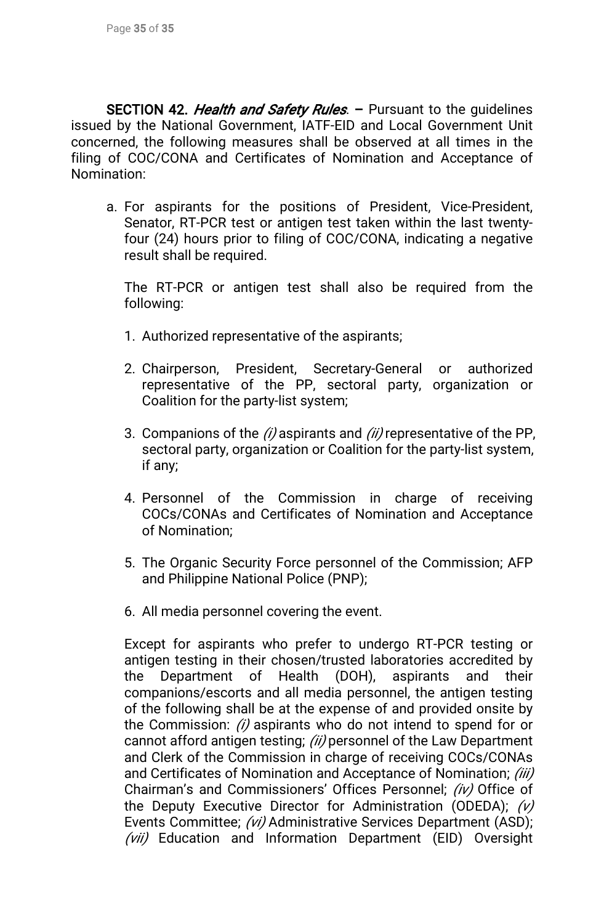SECTION 42. Health and Safety Rules. - Pursuant to the guidelines issued by the National Government, IATF-EID and Local Government Unit concerned, the following measures shall be observed at all times in the filing of COC/CONA and Certificates of Nomination and Acceptance of Nomination:

a. For aspirants for the positions of President, Vice-President, Senator, RT-PCR test or antigen test taken within the last twentyfour (24) hours prior to filing of COC/CONA, indicating a negative result shall be required.

The RT-PCR or antigen test shall also be required from the following:

- 1. Authorized representative of the aspirants;
- 2.Chairperson, President, Secretary-General or authorized representative of the PP, sectoral party, organization or Coalition for the party-list system;
- 3. Companions of the (i) aspirants and (ii) representative of the PP, sectoral party, organization or Coalition for the party-list system, ifany;
- 4.Personnel of the Commission in charge of receiving COCs/CONAs and Certificates of Nomination and Acceptance of Nomination:
- 5. The Organic Security Force personnel of the Commission; AFP and Philippine National Police (PNP);
- 6. All media personnel covering the event.

Except for aspirants who prefer to undergo RT-PCR testing or antigen testing in their chosen/trusted laboratories accredited by the Department of Health (DOH), aspirants and their companions/escorts and all media personnel, the antigen testing of the following shall be at the expense of and provided onsite by the Commission:  $(i)$  aspirants who do not intend to spend for or cannot afford antigen testing; (ii) personnel of the Law Department and Clerk of the Commission in charge of receiving COCs/CONAs and Certificates of Nomination and Acceptance of Nomination; (iii) Chairman's and Commissioners' Offices Personnel; (iv) Office of the Deputy Executive Director for Administration (ODEDA);  $(v)$ Events Committee; (vi) Administrative Services Department (ASD);  $(vii)$  Education and Information Department (EID) Oversight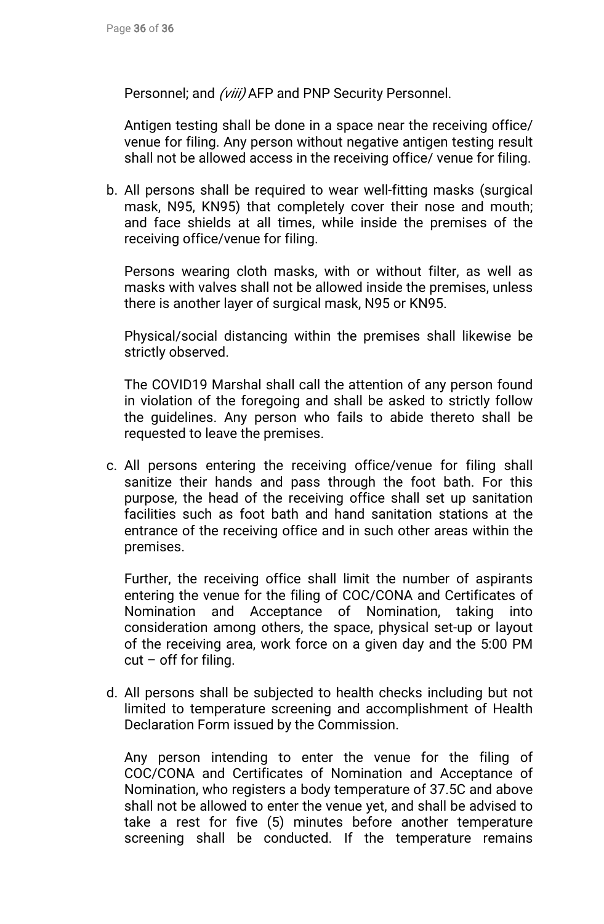Personnel; and (viii) AFP and PNP Security Personnel.

Antigen testing shall be done in a space near the receiving office/ venue for filing. Any person without negative antigen testing result shall not be allowed access in the receiving office/ venue for filing.

b. All persons shall be required to wear well-fitting masks (surgical mask, N95, KN95) that completely cover their nose and mouth; and face shields at all times, while inside the premises of the receiving office/venue for filing.

Persons wearing cloth masks, with or without filter, as well as masks with valves shall not be allowed inside the premises, unless there is another layer of surgical mask, N95 or KN95.

Physical/social distancing within the premises shall likewise be strictly observed.

The COVID19 Marshal shall call the attention of any person found in violation of the foregoing and shall be asked to strictly follow the guidelines. Any person who fails to abide thereto shall be requested to leave the premises.

c. All persons entering the receiving office/venue for filing shall sanitize their hands and pass through the foot bath. For this purpose, the head of the receiving office shall set up sanitation facilities such as foot bath and hand sanitation stations at the entrance of the receiving office and in such other areas within the premises.

Further, the receiving office shall limit the number of aspirants entering the venue for the filing of COC/CONA and Certificates of Nomination and Acceptance of Nomination, taking into consideration among others, the space, physical set-up or layout of the receiving area, work force on a given day and the 5:00 PM  $cut$  – off for filing.

d. All persons shall be subjected to health checks including but not limited to temperature screening and accomplishment of Health Declaration Form issued by the Commission.

Any person intending to enter the venue for the filing of COC/CONA and Certificates of Nomination and Acceptance of Nomination, who registers a body temperature of 37.5C and above shall not be allowed to enter the venue yet, and shall be advised to take a rest for five (5) minutes before another temperature screening shall be conducted. If the temperature remains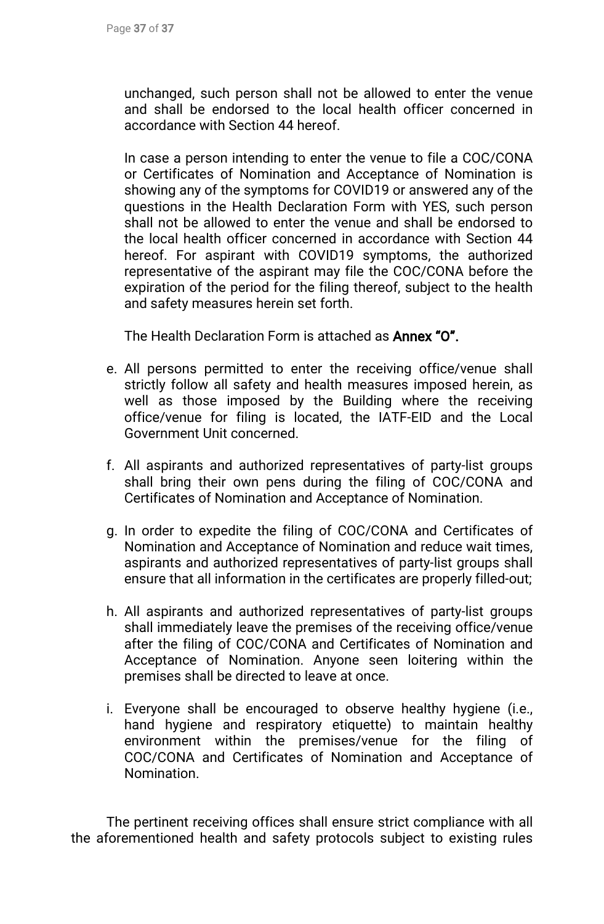unchanged, such person shall not be allowed to enter the venue and shall be endorsed to the local health officer concerned in accordance with Section 44 hereof.

In case a person intending to enter the venue to file a COC/CONA or Certificates of Nomination and Acceptance of Nomination is showing any of the symptoms for COVID19 or answered any of the questions in the Health Declaration Form with YES, such person shall not be allowed to enter the venue and shall be endorsed to the local health officer concerned in accordance with Section 44 hereof. For aspirant with COVID19 symptoms, the authorized representative of the aspirant may file the COC/CONA before the expiration of the period for the filing thereof, subject to the health and safety measures herein set forth.

The Health Declaration Form is attached as **Annex "O".** 

- e. All persons permitted to enter the receiving office/venue shall strictly follow all safety and health measures imposed herein, as well as those imposed by the Building where the receiving office/venue for filing is located, the IATF-EID and the Local Government Unit concerned.
- f. All aspirants and authorized representatives of party-list groups shall bring their own pens during the filing of COC/CONA and Certificates of Nomination and Acceptance of Nomination.
- g. In order to expedite the filing of COC/CONA and Certificates of Nomination and Acceptance of Nomination and reduce wait times, aspirants and authorized representatives of party-list groups shall ensure that all information in the certificates are properly filled-out;
- h. All aspirants and authorized representatives of party-list groups shall immediately leave the premises of the receiving office/venue after the filing of COC/CONA and Certificates of Nomination and Acceptance of Nomination. Anyone seen loitering within the premises shall be directed to leave at once.
- i. Everyone shall be encouraged to observe healthy hygiene (i.e., hand hygiene and respiratory etiquette) to maintain healthy environment within the premises/venue for the filing of COC/CONA and Certificates of Nomination and Acceptance of Nomination.

The pertinent receiving offices shall ensure strict compliance with all the aforementioned health and safety protocols subject to existing rules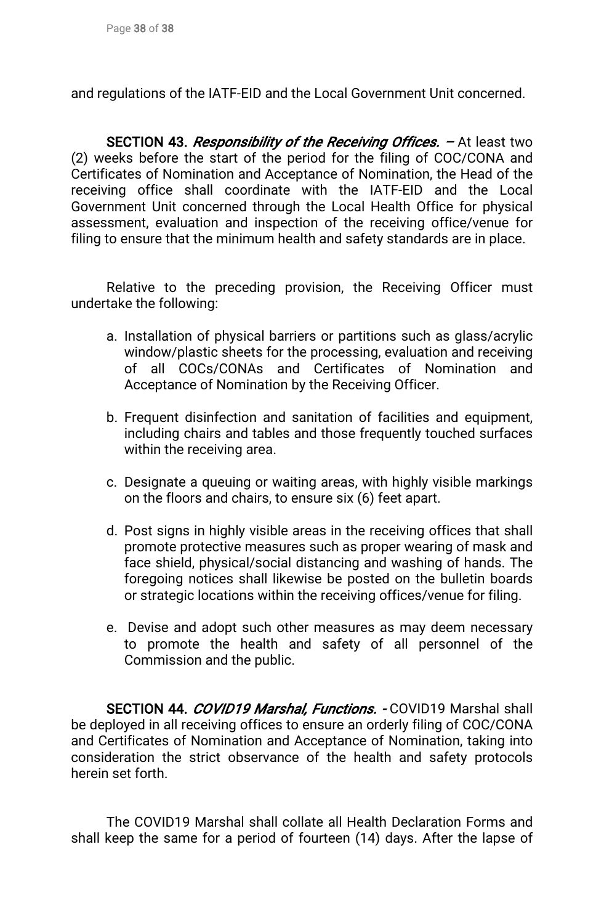and regulations of the IATF-EID and the Local Government Unit concerned.

SECTION 43. Responsibility of the Receiving Offices. - At least two (2) weeks before the start of the period for the filing of COC/CONA and Certificates of Nomination and Acceptance of Nomination, the Head of the receiving office shall coordinate with the IATF-EID and the Local Government Unit concerned through the Local Health Office for physical assessment, evaluation and inspection of the receiving office/venue for filing to ensure that the minimum health and safety standards are in place.

Relative to the preceding provision, the Receiving Officer must undertake the following:

- a. Installation of physical barriers or partitions such as glass/acrylic window/plastic sheets for the processing, evaluation and receiving of all COCs/CONAs and Certificates of Nomination and Acceptance of Nomination by the Receiving Officer.
- b. Frequent disinfection and sanitation of facilities and equipment, including chairs and tables and those frequently touched surfaces within the receiving area.
- c. Designate a queuing or waiting areas, with highly visible markings on the floors and chairs, to ensure six (6) feet apart.
- d. Post signs in highly visible areas in the receiving offices that shall promote protective measures such as proper wearing of mask and face shield, physical/social distancing and washing of hands. The foregoing notices shall likewise be posted on the bulletin boards or strategic locations within the receiving offices/venue for filing.
- e. Devise and adopt such other measures as may deem necessary to promote the health and safety of all personnel of the Commission and the public.

SECTION 44. COVID19 Marshal, Functions. - COVID19 Marshal shall be deployed in all receiving offices to ensure an orderly filing of COC/CONA and Certificates of Nomination and Acceptance of Nomination, taking into consideration the strict observance of the health and safety protocols herein set forth.

The COVID19 Marshal shall collate all Health Declaration Forms and shall keep the same for a period of fourteen (14) days. After the lapse of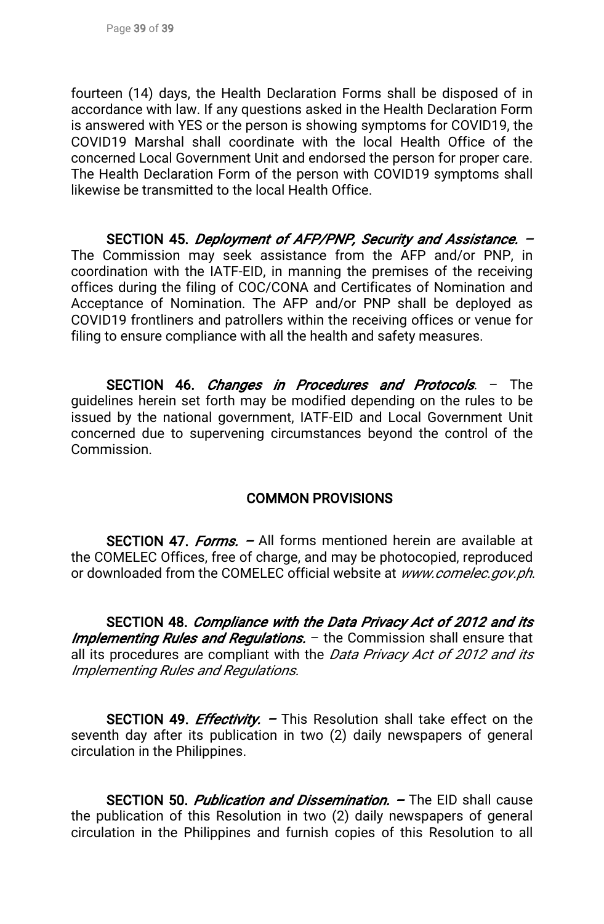fourteen (14) days, the Health Declaration Forms shall be disposed of in accordance with law. If any questions asked in the Health Declaration Form is answered with YES or the person is showing symptoms for COVID19, the COVID19 Marshal shall coordinate with the local Health Office of the concerned Local Government Unit and endorsed the person for proper care. The Health Declaration Form of the person with COVID19 symptoms shall likewise be transmitted to the local Health Office.

SECTION 45. Deployment of AFP/PNP, Security and Assistance. -The Commission may seek assistance from the AFP and/or PNP, in coordination with the IATF-EID, in manning the premises of the receiving offices during the filing of COC/CONA and Certificates of Nomination and Acceptance of Nomination. The AFP and/or PNP shall be deployed as COVID19 frontliners and patrollers within the receiving offices or venue for filing to ensure compliance with all the health and safety measures.

SECTION 46. *Changes in Procedures and Protocols*. - The guidelines herein set forth may be modified depending on the rules to be issued by the national government, IATF-EID and Local Government Unit concerned due to supervening circumstances beyond the control of the Commission.

# **COMMON PROVISIONS**

SECTION 47. Forms. – All forms mentioned herein are available at the COMELEC Offices, free of charge, and may be photocopied, reproduced or downloaded from the COMELEC official website at www.comelec.gov.ph.

SECTION 48. Compliance with the Data Privacy Act of 2012 and its Implementing Rules and Regulations. – the Commission shall ensure that all its procedures are compliant with the Data Privacy Act of 2012 and its Implementing Rules and Regulations.

SECTION 49. *Effectivity*. – This Resolution shall take effect on the seventh day after its publication in two (2) daily newspapers of general circulation in the Philippines.

SECTION 50. Publication and Dissemination. – The EID shall cause the publication of this Resolution in two (2) daily newspapers of general circulation in the Philippines and furnish copies of this Resolution to all